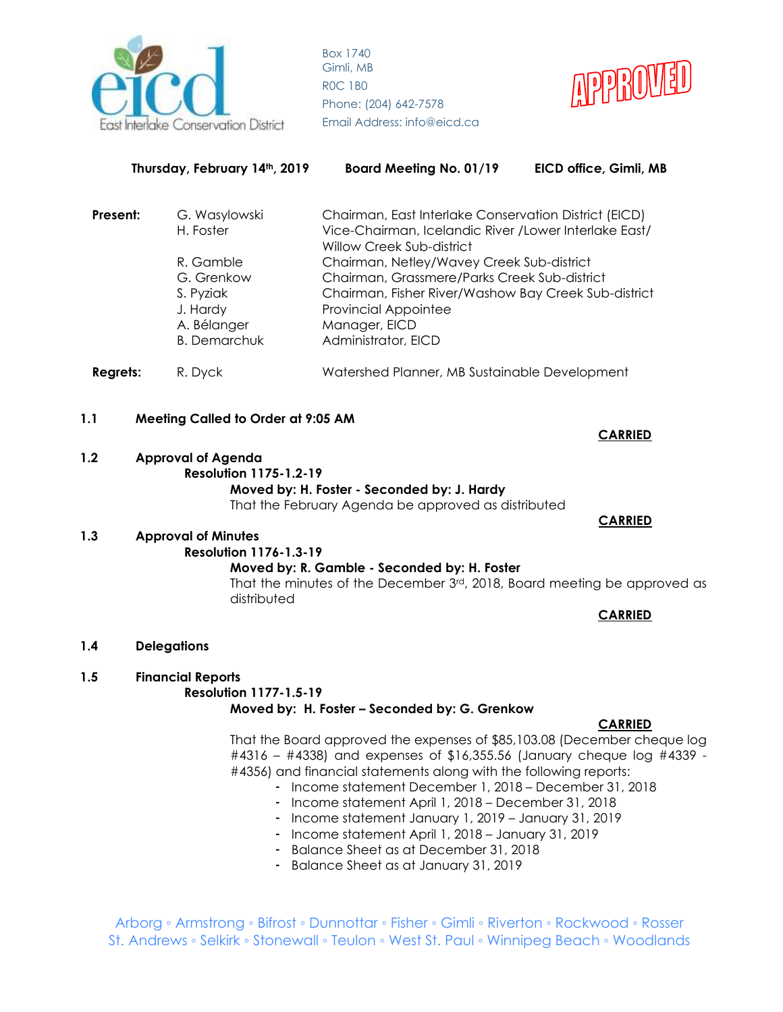



| Thursday, February 14th, 2019 |  |                                                                                        | Board Meeting No. 01/19                                                                                                                                                                                                  | EICD office, Gimli, MB |  |
|-------------------------------|--|----------------------------------------------------------------------------------------|--------------------------------------------------------------------------------------------------------------------------------------------------------------------------------------------------------------------------|------------------------|--|
| Present:                      |  | G. Wasylowski<br>H. Foster                                                             | Chairman, East Interlake Conservation District (EICD)<br>Vice-Chairman, Icelandic River / Lower Interlake East/<br>Willow Creek Sub-district                                                                             |                        |  |
|                               |  | R. Gamble<br>G. Grenkow<br>S. Pyziak<br>J. Hardy<br>A. Bélanger<br><b>B.</b> Demarchuk | Chairman, Netley/Wavey Creek Sub-district<br>Chairman, Grassmere/Parks Creek Sub-district<br>Chairman, Fisher River/Washow Bay Creek Sub-district<br><b>Provincial Appointee</b><br>Manager, EICD<br>Administrator, EICD |                        |  |
| <b>Regrets:</b>               |  | R. Dyck                                                                                | Watershed Planner, MB Sustainable Development                                                                                                                                                                            |                        |  |

# **1.1 Meeting Called to Order at 9:05 AM**

# **1.2 Approval of Agenda Resolution 1175-1.2-19 Moved by: H. Foster - Seconded by: J. Hardy** That the February Agenda be approved as distributed

#### **1.3 Approval of Minutes Resolution 1176-1.3-19 Moved by: R. Gamble - Seconded by: H. Foster**

That the minutes of the December 3rd, 2018, Board meeting be approved as distributed

**CARRIED**

**1.4 Delegations**

# **1.5 Financial Reports**

# **Resolution 1177-1.5-19**

**Moved by: H. Foster – Seconded by: G. Grenkow**

# **CARRIED**

That the Board approved the expenses of \$85,103.08 (December cheque log #4316 – #4338) and expenses of \$16,355.56 (January cheque log #4339 - #4356) and financial statements along with the following reports:

- Income statement December 1, 2018 December 31, 2018
- Income statement April 1, 2018 December 31, 2018
- Income statement January 1, 2019 January 31, 2019
- Income statement April 1, 2018 January 31, 2019
- Balance Sheet as at December 31, 2018
- Balance Sheet as at January 31, 2019

Arborg ◦ Armstrong ◦ Bifrost ◦ Dunnottar ◦ Fisher ◦ Gimli ◦ Riverton ◦ Rockwood ◦ Rosser St. Andrews ◦ Selkirk ◦ Stonewall ◦ Teulon ◦ West St. Paul ◦ Winnipeg Beach ◦ Woodlands

**CARRIED**

 **CARRIED**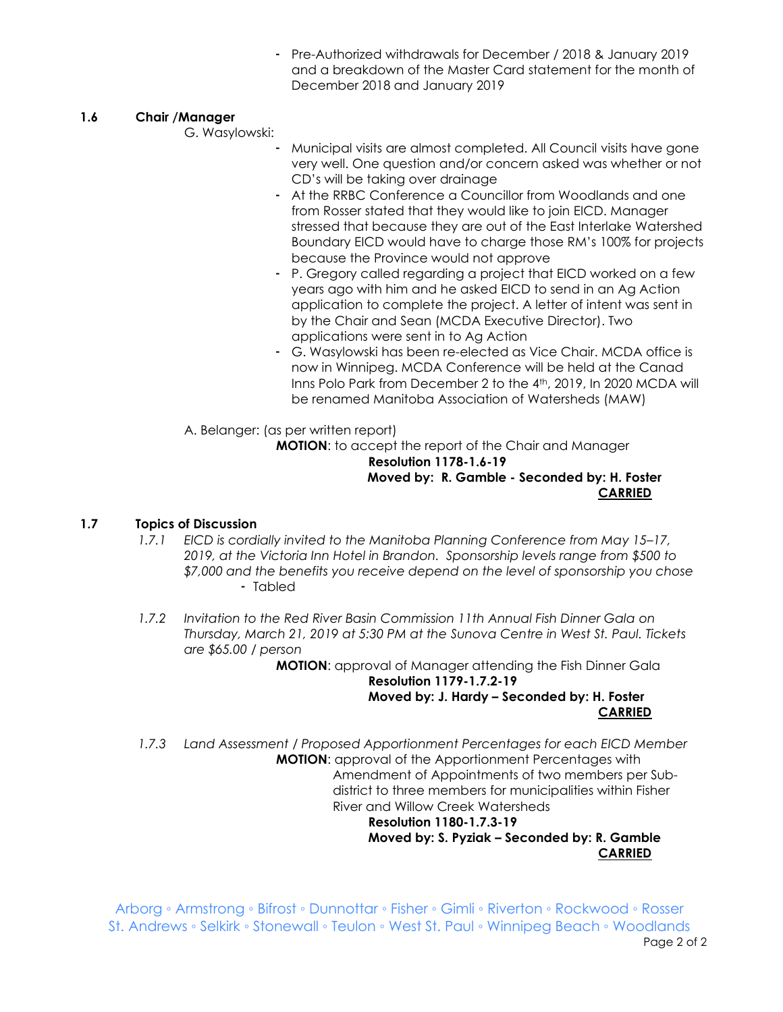- Pre-Authorized withdrawals for December / 2018 & January 2019 and a breakdown of the Master Card statement for the month of December 2018 and January 2019

# **1.6 Chair /Manager**

G. Wasylowski:

- Municipal visits are almost completed. All Council visits have gone very well. One question and/or concern asked was whether or not CD's will be taking over drainage
- At the RRBC Conference a Councillor from Woodlands and one from Rosser stated that they would like to join EICD. Manager stressed that because they are out of the East Interlake Watershed Boundary EICD would have to charge those RM's 100% for projects because the Province would not approve
- P. Gregory called regarding a project that EICD worked on a few years ago with him and he asked EICD to send in an Ag Action application to complete the project. A letter of intent was sent in by the Chair and Sean (MCDA Executive Director). Two applications were sent in to Ag Action
- G. Wasylowski has been re-elected as Vice Chair. MCDA office is now in Winnipeg. MCDA Conference will be held at the Canad Inns Polo Park from December 2 to the 4<sup>th</sup>, 2019, In 2020 MCDA will be renamed Manitoba Association of Watersheds (MAW)

A. Belanger: (as per written report)

**MOTION**: to accept the report of the Chair and Manager **Resolution 1178-1.6-19 Moved by: R. Gamble - Seconded by: H. Foster CARRIED**

# **1.7 Topics of Discussion**

- *1.7.1 EICD is cordially invited to the Manitoba Planning Conference from May 15–17, 2019, at the Victoria Inn Hotel in Brandon. Sponsorship levels range from \$500 to \$7,000 and the benefits you receive depend on the level of sponsorship you chose* - Tabled
- *1.7.2 Invitation to the Red River Basin Commission 11th Annual Fish Dinner Gala on Thursday, March 21, 2019 at 5:30 PM at the Sunova Centre in West St. Paul. Tickets are \$65.00 / person*

**MOTION**: approval of Manager attending the Fish Dinner Gala **Resolution 1179-1.7.2-19 Moved by: J. Hardy – Seconded by: H. Foster CARRIED**

*1.7.3 Land Assessment / Proposed Apportionment Percentages for each EICD Member* **MOTION**: approval of the Apportionment Percentages with Amendment of Appointments of two members per Sub district to three members for municipalities within Fisher River and Willow Creek Watersheds

 **Resolution 1180-1.7.3-19 Moved by: S. Pyziak – Seconded by: R. Gamble CARRIED**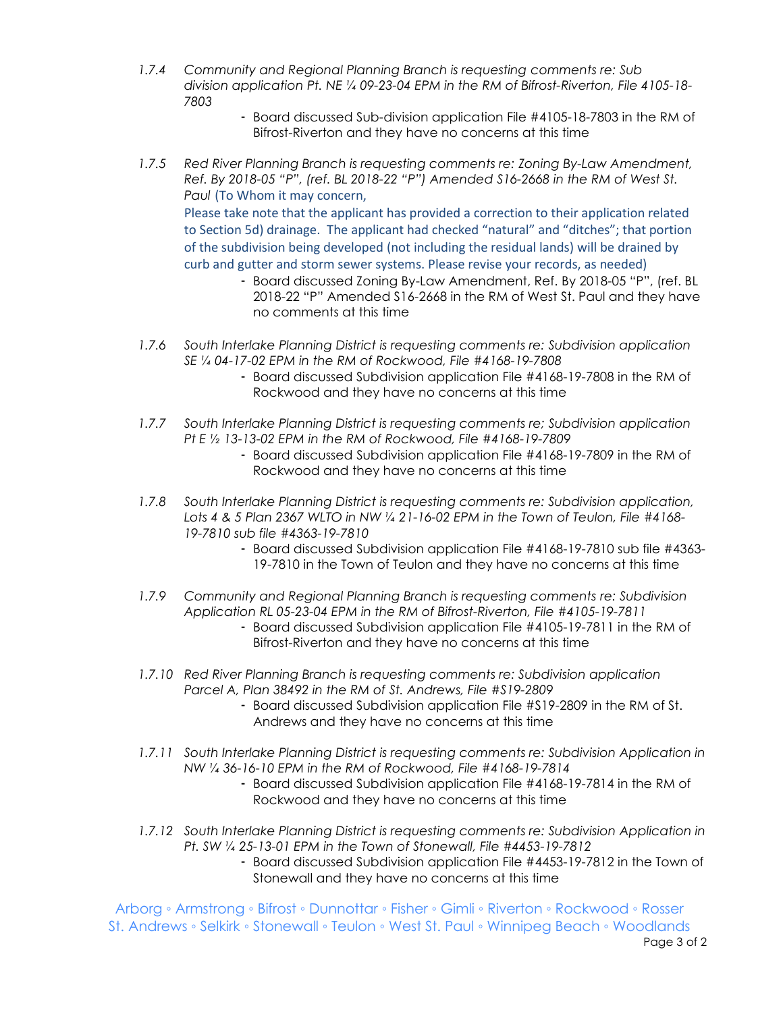- *1.7.4 Community and Regional Planning Branch is requesting comments re: Sub division application Pt. NE ¼ 09-23-04 EPM in the RM of Bifrost-Riverton, File 4105-18- 7803*
	- Board discussed Sub-division application File #4105-18-7803 in the RM of Bifrost-Riverton and they have no concerns at this time
- *1.7.5 Red River Planning Branch is requesting comments re: Zoning By-Law Amendment, Ref. By 2018-05 "P", (ref. BL 2018-22 "P") Amended S16-2668 in the RM of West St. Paul* (To Whom it may concern, Please take note that the applicant has provided a correction to their application related

to Section 5d) drainage. The applicant had checked "natural" and "ditches"; that portion of the subdivision being developed (not including the residual lands) will be drained by curb and gutter and storm sewer systems. Please revise your records, as needed)

- Board discussed Zoning By-Law Amendment, Ref. By 2018-05 "P", (ref. BL 2018-22 "P" Amended S16-2668 in the RM of West St. Paul and they have no comments at this time
- *1.7.6 South Interlake Planning District is requesting comments re: Subdivision application SE ¼ 04-17-02 EPM in the RM of Rockwood, File #4168-19-7808*
	- Board discussed Subdivision application File #4168-19-7808 in the RM of Rockwood and they have no concerns at this time
- *1.7.7 South Interlake Planning District is requesting comments re; Subdivision application Pt E ½ 13-13-02 EPM in the RM of Rockwood, File #4168-19-7809*
	- Board discussed Subdivision application File #4168-19-7809 in the RM of Rockwood and they have no concerns at this time
- *1.7.8 South Interlake Planning District is requesting comments re: Subdivision application, Lots 4 & 5 Plan 2367 WLTO in NW ¼ 21-16-02 EPM in the Town of Teulon, File #4168- 19-7810 sub file #4363-19-7810*
	- Board discussed Subdivision application File #4168-19-7810 sub file #4363- 19-7810 in the Town of Teulon and they have no concerns at this time
- *1.7.9 Community and Regional Planning Branch is requesting comments re: Subdivision Application RL 05-23-04 EPM in the RM of Bifrost-Riverton, File #4105-19-7811* 
	- Board discussed Subdivision application File #4105-19-7811 in the RM of Bifrost-Riverton and they have no concerns at this time
- *1.7.10 Red River Planning Branch is requesting comments re: Subdivision application Parcel A, Plan 38492 in the RM of St. Andrews, File #S19-2809*
	- Board discussed Subdivision application File #S19-2809 in the RM of St. Andrews and they have no concerns at this time
- *1.7.11 South Interlake Planning District is requesting comments re: Subdivision Application in NW ¼ 36-16-10 EPM in the RM of Rockwood, File #4168-19-7814*
	- Board discussed Subdivision application File #4168-19-7814 in the RM of Rockwood and they have no concerns at this time
- *1.7.12 South Interlake Planning District is requesting comments re: Subdivision Application in Pt. SW ¼ 25-13-01 EPM in the Town of Stonewall, File #4453-19-7812*
	- Board discussed Subdivision application File #4453-19-7812 in the Town of Stonewall and they have no concerns at this time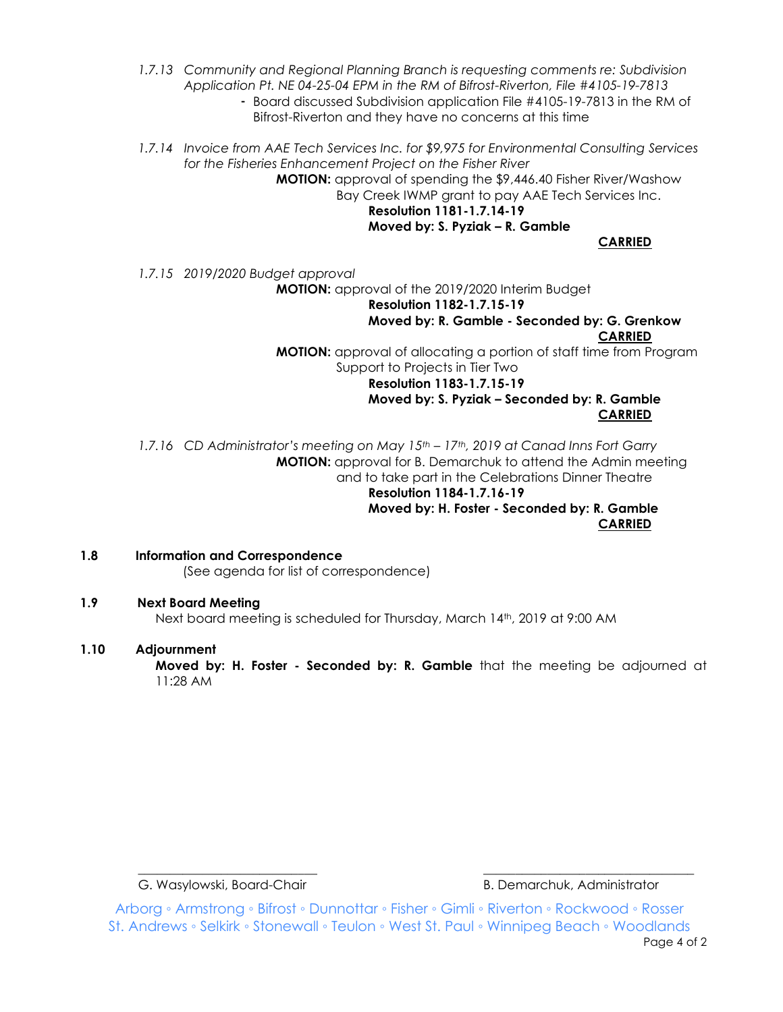- *1.7.13 Community and Regional Planning Branch is requesting comments re: Subdivision Application Pt. NE 04-25-04 EPM in the RM of Bifrost-Riverton, File #4105-19-7813*
	- Board discussed Subdivision application File #4105-19-7813 in the RM of Bifrost-Riverton and they have no concerns at this time
- *1.7.14 Invoice from AAE Tech Services Inc. for \$9,975 for Environmental Consulting Services for the Fisheries Enhancement Project on the Fisher River*

**MOTION:** approval of spending the \$9,446.40 Fisher River/Washow Bay Creek IWMP grant to pay AAE Tech Services Inc.

**Resolution 1181-1.7.14-19 Moved by: S. Pyziak – R. Gamble**

**CARRIED**

*1.7.15 2019/2020 Budget approval*

**MOTION:** approval of the 2019/2020 Interim Budget

**Resolution 1182-1.7.15-19 Moved by: R. Gamble - Seconded by: G. Grenkow CARRIED MOTION:** approval of allocating a portion of staff time from Program Support to Projects in Tier Two **Resolution 1183-1.7.15-19 Moved by: S. Pyziak – Seconded by: R. Gamble CARRIED**

*1.7.16 CD Administrator's meeting on May 15th – 17th, 2019 at Canad Inns Fort Garry* **MOTION:** approval for B. Demarchuk to attend the Admin meeting and to take part in the Celebrations Dinner Theatre **Resolution 1184-1.7.16-19 Moved by: H. Foster - Seconded by: R. Gamble CARRIED**

**1.8 Information and Correspondence** (See agenda for list of correspondence)

# **1.9 Next Board Meeting**

Next board meeting is scheduled for Thursday, March 14th, 2019 at 9:00 AM

# **1.10 Adjournment**

**Moved by: H. Foster - Seconded by: R. Gamble** that the meeting be adjourned at 11:28 AM

G. Wasylowski, Board-Chair **B. Demarchuk, Administrator** B. Demarchuk, Administrator

Arborg ◦ Armstrong ◦ Bifrost ◦ Dunnottar ◦ Fisher ◦ Gimli ◦ Riverton ◦ Rockwood ◦ Rosser St. Andrews ◦ Selkirk ◦ Stonewall ◦ Teulon ◦ West St. Paul ◦ Winnipeg Beach ◦ Woodlands Page 4 of 2

\_\_\_\_\_\_\_\_\_\_\_\_\_\_\_\_\_\_\_\_\_\_\_\_\_\_\_\_ \_\_\_\_\_\_\_\_\_\_\_\_\_\_\_\_\_\_\_\_\_\_\_\_\_\_\_\_\_\_\_\_\_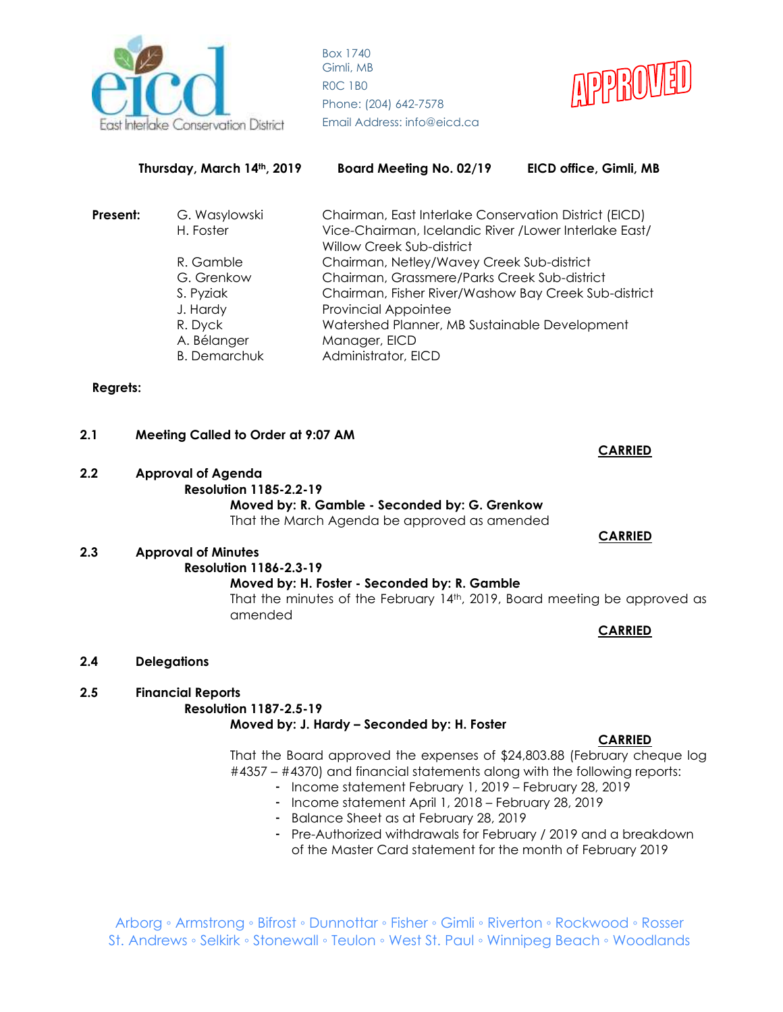



| Thursday, March 14th, 2019 |                                    | <b>Board Meeting No. 02/19</b><br>EICD office, Gimli, MB                                                        |  |  |
|----------------------------|------------------------------------|-----------------------------------------------------------------------------------------------------------------|--|--|
| Present:                   | G. Wasylowski<br>H. Foster         | Chairman, East Interlake Conservation District (EICD)<br>Vice-Chairman, Icelandic River / Lower Interlake East/ |  |  |
|                            | R. Gamble                          | Willow Creek Sub-district<br>Chairman, Netley/Wavey Creek Sub-district                                          |  |  |
|                            | G. Grenkow<br>S. Pyziak            | Chairman, Grassmere/Parks Creek Sub-district<br>Chairman, Fisher River/Washow Bay Creek Sub-district            |  |  |
|                            | J. Hardy<br>R. Dyck                | <b>Provincial Appointee</b><br>Watershed Planner, MB Sustainable Development                                    |  |  |
|                            | A. Bélanger<br><b>B.</b> Demarchuk | Manager, EICD<br>Administrator, EICD                                                                            |  |  |

# **Regrets:**

# **2.1 Meeting Called to Order at 9:07 AM CARRIED 2.2 Approval of Agenda Resolution 1185-2.2-19 Moved by: R. Gamble - Seconded by: G. Grenkow** That the March Agenda be approved as amended  **CARRIED 2.3 Approval of Minutes Resolution 1186-2.3-19**

**Moved by: H. Foster - Seconded by: R. Gamble** That the minutes of the February 14<sup>th</sup>, 2019, Board meeting be approved as amended

**CARRIED**

- **2.4 Delegations**
- **2.5 Financial Reports**

# **Resolution 1187-2.5-19**

# **Moved by: J. Hardy – Seconded by: H. Foster**

#### **CARRIED**

That the Board approved the expenses of \$24,803.88 (February cheque log #4357 – #4370) and financial statements along with the following reports:

- Income statement February 1, 2019 February 28, 2019
- Income statement April 1, 2018 February 28, 2019
- Balance Sheet as at February 28, 2019
- Pre-Authorized withdrawals for February / 2019 and a breakdown of the Master Card statement for the month of February 2019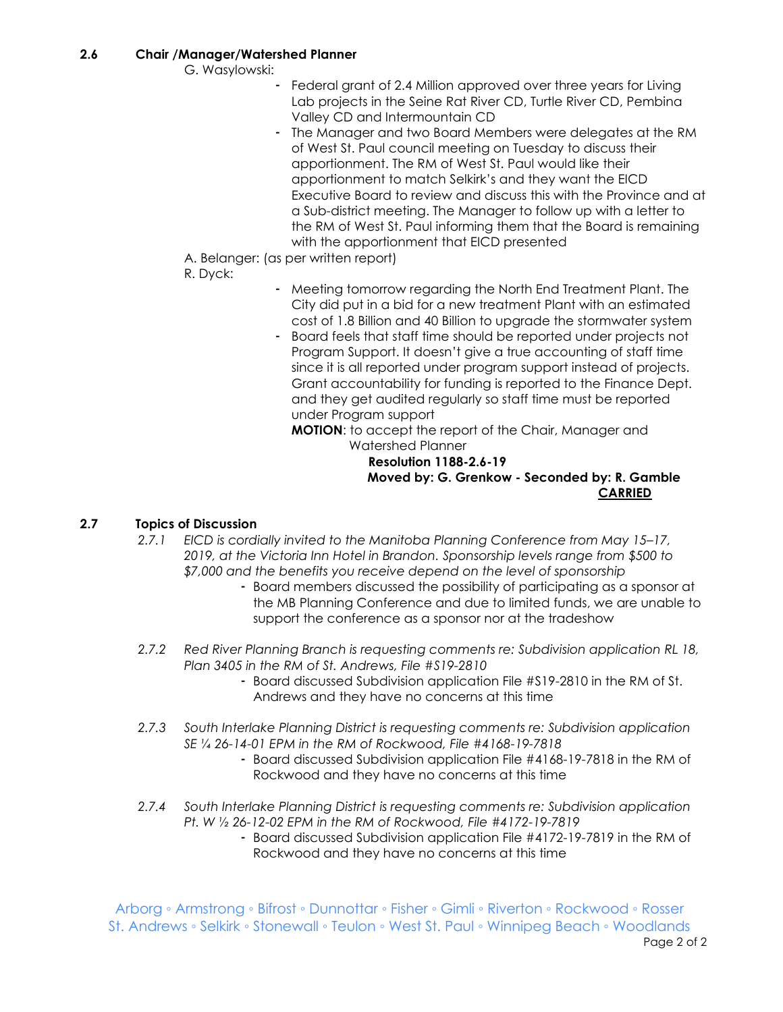G. Wasylowski:

- Federal grant of 2.4 Million approved over three years for Living Lab projects in the Seine Rat River CD, Turtle River CD, Pembina Valley CD and Intermountain CD
- The Manager and two Board Members were delegates at the RM of West St. Paul council meeting on Tuesday to discuss their apportionment. The RM of West St. Paul would like their apportionment to match Selkirk's and they want the EICD Executive Board to review and discuss this with the Province and at a Sub-district meeting. The Manager to follow up with a letter to the RM of West St. Paul informing them that the Board is remaining with the apportionment that EICD presented
- A. Belanger: (as per written report)
- R. Dyck:
- Meeting tomorrow regarding the North End Treatment Plant. The City did put in a bid for a new treatment Plant with an estimated cost of 1.8 Billion and 40 Billion to upgrade the stormwater system
- Board feels that staff time should be reported under projects not Program Support. It doesn't give a true accounting of staff time since it is all reported under program support instead of projects. Grant accountability for funding is reported to the Finance Dept. and they get audited regularly so staff time must be reported under Program support

**MOTION**: to accept the report of the Chair, Manager and Watershed Planner

# **Resolution 1188-2.6-19 Moved by: G. Grenkow - Seconded by: R. Gamble CARRIED**

# **2.7 Topics of Discussion**

- *2.7.1 EICD is cordially invited to the Manitoba Planning Conference from May 15–17, 2019, at the Victoria Inn Hotel in Brandon. Sponsorship levels range from \$500 to \$7,000 and the benefits you receive depend on the level of sponsorship* 
	- Board members discussed the possibility of participating as a sponsor at the MB Planning Conference and due to limited funds, we are unable to support the conference as a sponsor nor at the tradeshow
- *2.7.2 Red River Planning Branch is requesting comments re: Subdivision application RL 18, Plan 3405 in the RM of St. Andrews, File #S19-2810*
	- Board discussed Subdivision application File #S19-2810 in the RM of St. Andrews and they have no concerns at this time
- *2.7.3 South Interlake Planning District is requesting comments re: Subdivision application SE ¼ 26-14-01 EPM in the RM of Rockwood, File #4168-19-7818*
	- Board discussed Subdivision application File #4168-19-7818 in the RM of Rockwood and they have no concerns at this time
- *2.7.4 South Interlake Planning District is requesting comments re: Subdivision application Pt. W ½ 26-12-02 EPM in the RM of Rockwood, File #4172-19-7819*
	- Board discussed Subdivision application File #4172-19-7819 in the RM of Rockwood and they have no concerns at this time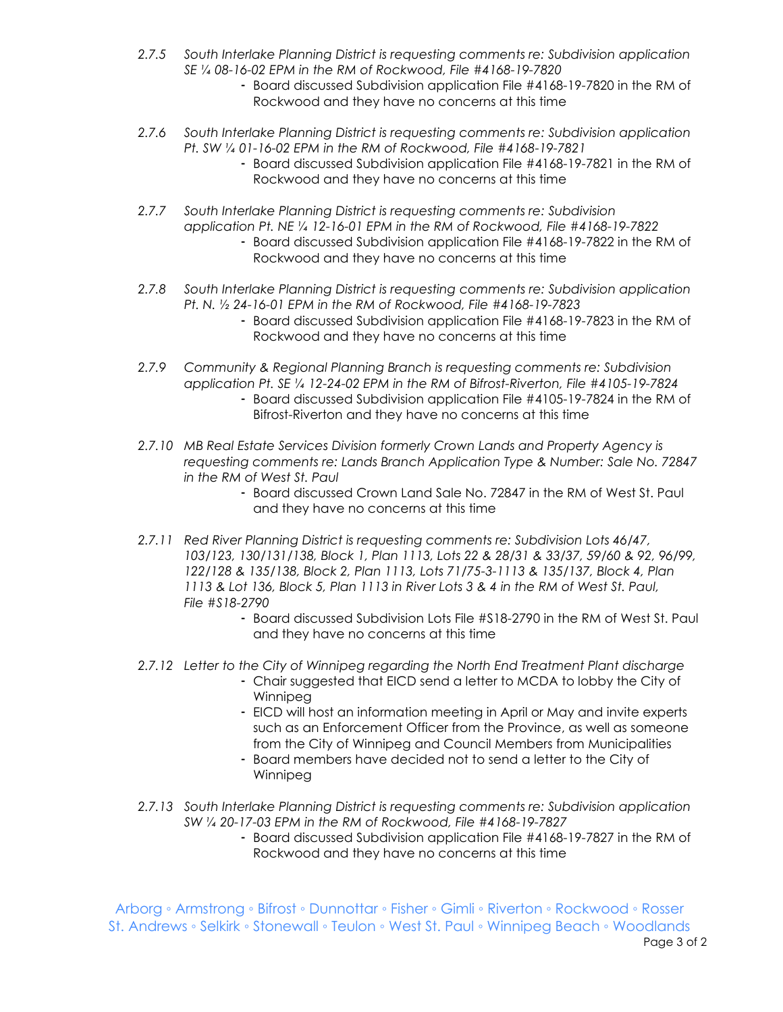- *2.7.5 South Interlake Planning District is requesting comments re: Subdivision application SE ¼ 08-16-02 EPM in the RM of Rockwood, File #4168-19-7820*
	- Board discussed Subdivision application File #4168-19-7820 in the RM of Rockwood and they have no concerns at this time
- *2.7.6 South Interlake Planning District is requesting comments re: Subdivision application Pt. SW ¼ 01-16-02 EPM in the RM of Rockwood, File #4168-19-7821*
	- Board discussed Subdivision application File #4168-19-7821 in the RM of Rockwood and they have no concerns at this time
- *2.7.7 South Interlake Planning District is requesting comments re: Subdivision application Pt. NE ¼ 12-16-01 EPM in the RM of Rockwood, File #4168-19-7822*
	- Board discussed Subdivision application File #4168-19-7822 in the RM of Rockwood and they have no concerns at this time
- *2.7.8 South Interlake Planning District is requesting comments re: Subdivision application Pt. N. ½ 24-16-01 EPM in the RM of Rockwood, File #4168-19-7823*
	- Board discussed Subdivision application File #4168-19-7823 in the RM of Rockwood and they have no concerns at this time
- *2.7.9 Community & Regional Planning Branch is requesting comments re: Subdivision application Pt. SE ¼ 12-24-02 EPM in the RM of Bifrost-Riverton, File #4105-19-7824* - Board discussed Subdivision application File #4105-19-7824 in the RM of Bifrost-Riverton and they have no concerns at this time
- *2.7.10 MB Real Estate Services Division formerly Crown Lands and Property Agency is requesting comments re: Lands Branch Application Type & Number: Sale No. 72847 in the RM of West St. Paul*
	- Board discussed Crown Land Sale No. 72847 in the RM of West St. Paul and they have no concerns at this time
- *2.7.11 Red River Planning District is requesting comments re: Subdivision Lots 46/47, 103/123, 130/131/138, Block 1, Plan 1113, Lots 22 & 28/31 & 33/37, 59/60 & 92, 96/99, 122/128 & 135/138, Block 2, Plan 1113, Lots 71/75-3-1113 & 135/137, Block 4, Plan 1113 & Lot 136, Block 5, Plan 1113 in River Lots 3 & 4 in the RM of West St. Paul, File #S18-2790*
	- Board discussed Subdivision Lots File #S18-2790 in the RM of West St. Paul and they have no concerns at this time
- *2.7.12 Letter to the City of Winnipeg regarding the North End Treatment Plant discharge*
	- Chair suggested that EICD send a letter to MCDA to lobby the City of Winnipeg
	- EICD will host an information meeting in April or May and invite experts such as an Enforcement Officer from the Province, as well as someone from the City of Winnipeg and Council Members from Municipalities
	- Board members have decided not to send a letter to the City of Winnipeg
- *2.7.13 South Interlake Planning District is requesting comments re: Subdivision application SW ¼ 20-17-03 EPM in the RM of Rockwood, File #4168-19-7827*
	- Board discussed Subdivision application File #4168-19-7827 in the RM of Rockwood and they have no concerns at this time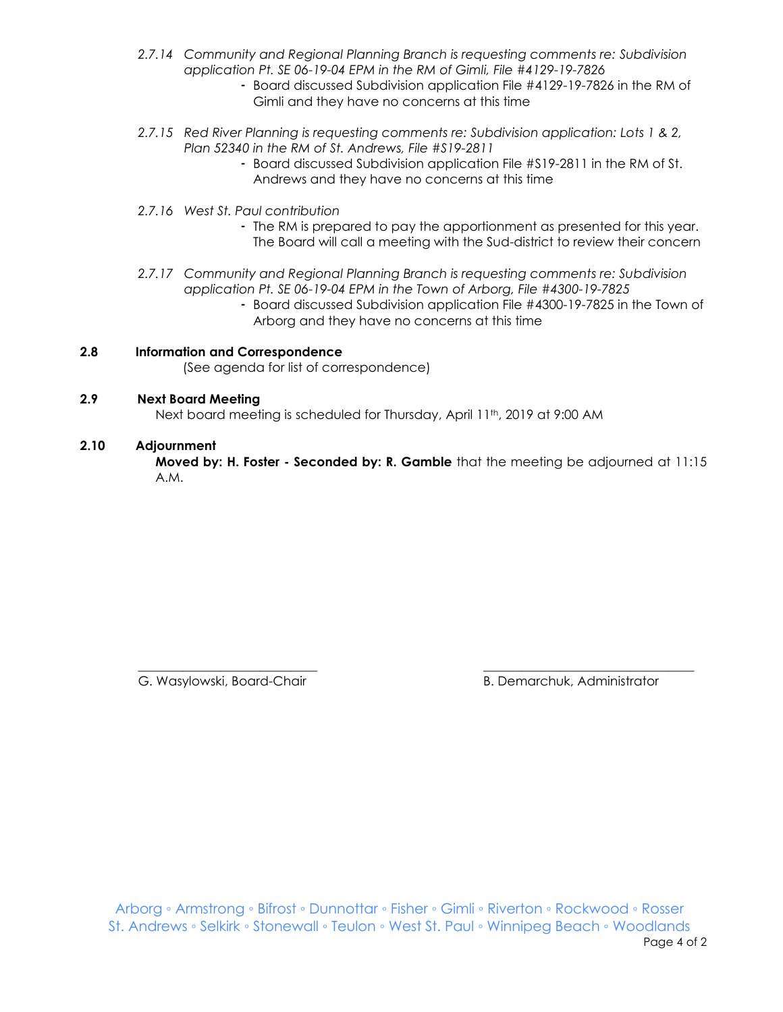- *2.7.14 Community and Regional Planning Branch is requesting comments re: Subdivision application Pt. SE 06-19-04 EPM in the RM of Gimli, File #4129-19-7826*
	- Board discussed Subdivision application File #4129-19-7826 in the RM of Gimli and they have no concerns at this time
- *2.7.15 Red River Planning is requesting comments re: Subdivision application: Lots 1 & 2, Plan 52340 in the RM of St. Andrews, File #S19-2811*
	- Board discussed Subdivision application File #S19-2811 in the RM of St. Andrews and they have no concerns at this time
- *2.7.16 West St. Paul contribution*
	- The RM is prepared to pay the apportionment as presented for this year. The Board will call a meeting with the Sud-district to review their concern
- *2.7.17 Community and Regional Planning Branch is requesting comments re: Subdivision application Pt. SE 06-19-04 EPM in the Town of Arborg, File #4300-19-7825*
	- Board discussed Subdivision application File #4300-19-7825 in the Town of Arborg and they have no concerns at this time

# **2.8 Information and Correspondence**

(See agenda for list of correspondence)

#### **2.9 Next Board Meeting**

Next board meeting is scheduled for Thursday, April 11<sup>th</sup>, 2019 at 9:00 AM

#### **2.10 Adjournment**

**Moved by: H. Foster - Seconded by: R. Gamble** that the meeting be adjourned at 11:15 A.M.

\_\_\_\_\_\_\_\_\_\_\_\_\_\_\_\_\_\_\_\_\_\_\_\_\_\_\_\_ \_\_\_\_\_\_\_\_\_\_\_\_\_\_\_\_\_\_\_\_\_\_\_\_\_\_\_\_\_\_\_\_\_ G. Wasylowski, Board-Chair **B. Demarchuk, Administrator** B. Demarchuk, Administrator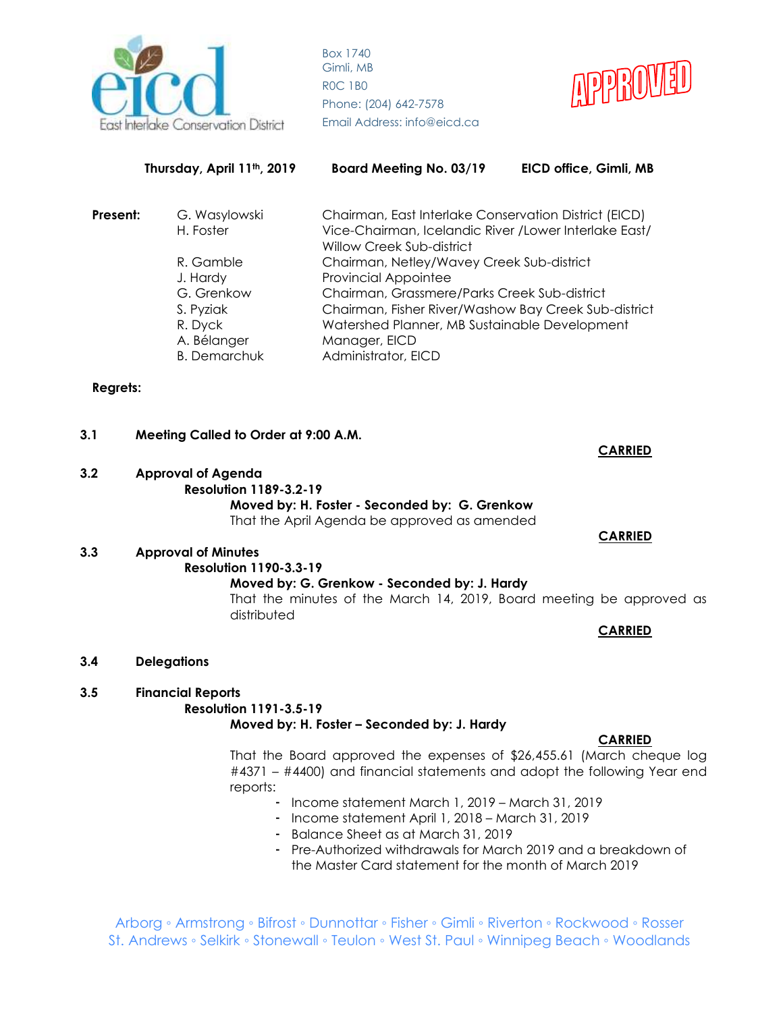



|                                            | Thursday, April 11 <sup>th</sup> , 2019                                                                                                                                    | <b>Board Meeting No. 03/19</b>                                           | EICD office, Gimli, MB |  |
|--------------------------------------------|----------------------------------------------------------------------------------------------------------------------------------------------------------------------------|--------------------------------------------------------------------------|------------------------|--|
| Present:                                   | Chairman, East Interlake Conservation District (EICD)<br>G. Wasylowski<br>Vice-Chairman, Icelandic River / Lower Interlake East/<br>H. Foster<br>Willow Creek Sub-district |                                                                          |                        |  |
|                                            | R. Gamble<br>J. Hardy                                                                                                                                                      | Chairman, Netley/Wavey Creek Sub-district<br><b>Provincial Appointee</b> |                        |  |
|                                            | G. Grenkow                                                                                                                                                                 | Chairman, Grassmere/Parks Creek Sub-district                             |                        |  |
|                                            | S. Pyziak                                                                                                                                                                  | Chairman, Fisher River/Washow Bay Creek Sub-district                     |                        |  |
|                                            | R. Dyck                                                                                                                                                                    | Watershed Planner, MB Sustainable Development                            |                        |  |
|                                            | A. Bélanger                                                                                                                                                                | Manager, EICD                                                            |                        |  |
| <b>B. Demarchuk</b><br>Administrator, EICD |                                                                                                                                                                            |                                                                          |                        |  |

# **Regrets:**

# **3.1 Meeting Called to Order at 9:00 A.M. 3.2 Approval of Agenda Resolution 1189-3.2-19**

**Moved by: H. Foster - Seconded by: G. Grenkow** That the April Agenda be approved as amended

# **3.3 Approval of Minutes**

# **Resolution 1190-3.3-19**

# **Moved by: G. Grenkow - Seconded by: J. Hardy**

That the minutes of the March 14, 2019, Board meeting be approved as distributed

**CARRIED**

**CARRIED**

 **CARRIED** 

**3.4 Delegations**

# **3.5 Financial Reports**

# **Resolution 1191-3.5-19**

# **Moved by: H. Foster – Seconded by: J. Hardy**

# **CARRIED**

That the Board approved the expenses of \$26,455.61 (March cheque log #4371 – #4400) and financial statements and adopt the following Year end reports:

- Income statement March 1, 2019 March 31, 2019
- Income statement April 1, 2018 March 31, 2019
- Balance Sheet as at March 31, 2019
- Pre-Authorized withdrawals for March 2019 and a breakdown of the Master Card statement for the month of March 2019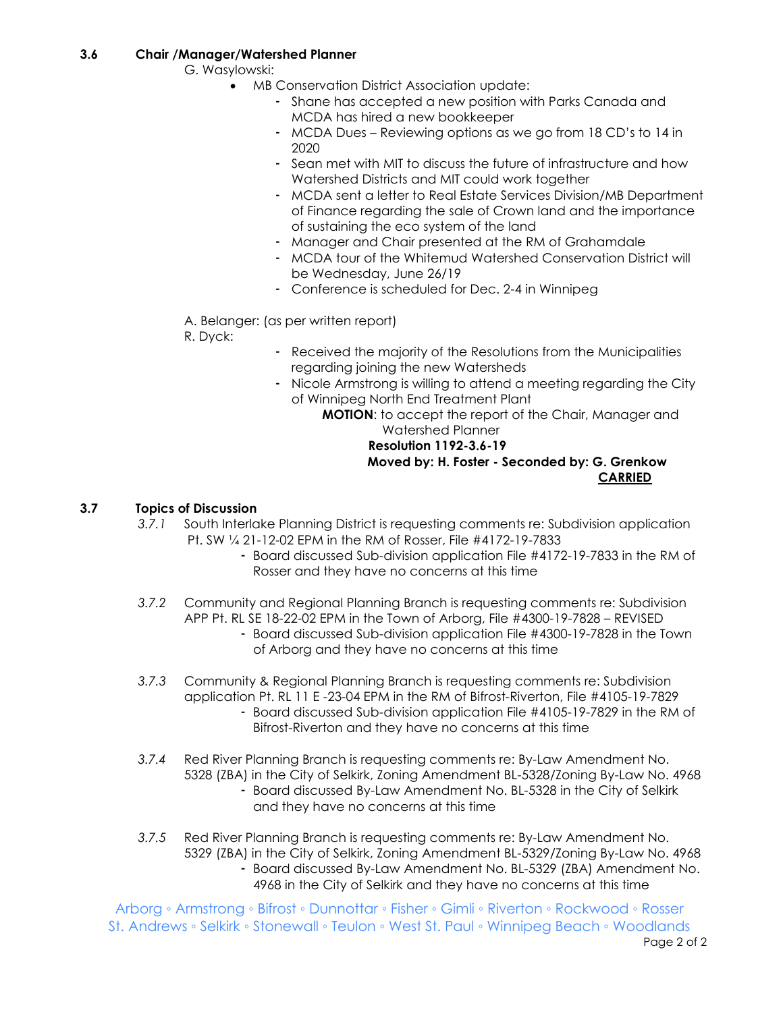# **3.6 Chair /Manager/Watershed Planner**

G. Wasylowski:

- MB Conservation District Association update:
	- Shane has accepted a new position with Parks Canada and MCDA has hired a new bookkeeper
	- MCDA Dues Reviewing options as we go from 18 CD's to 14 in 2020
	- Sean met with MIT to discuss the future of infrastructure and how Watershed Districts and MIT could work together
	- MCDA sent a letter to Real Estate Services Division/MB Department of Finance regarding the sale of Crown land and the importance of sustaining the eco system of the land
	- Manager and Chair presented at the RM of Grahamdale
	- MCDA tour of the Whitemud Watershed Conservation District will be Wednesday, June 26/19
	- Conference is scheduled for Dec. 2-4 in Winnipeg

A. Belanger: (as per written report)

R. Dyck:

- Received the majority of the Resolutions from the Municipalities regarding joining the new Watersheds
- Nicole Armstrong is willing to attend a meeting regarding the City of Winnipeg North End Treatment Plant

**MOTION**: to accept the report of the Chair, Manager and Watershed Planner

# **Resolution 1192-3.6-19 Moved by: H. Foster - Seconded by: G. Grenkow CARRIED**

# **3.7 Topics of Discussion**

- *3.7.1* South Interlake Planning District is requesting comments re: Subdivision application Pt. SW ¼ 21-12-02 EPM in the RM of Rosser, File #4172-19-7833
	- Board discussed Sub-division application File #4172-19-7833 in the RM of Rosser and they have no concerns at this time
- *3.7.2* Community and Regional Planning Branch is requesting comments re: Subdivision APP Pt. RL SE 18-22-02 EPM in the Town of Arborg, File #4300-19-7828 – REVISED
	- Board discussed Sub-division application File #4300-19-7828 in the Town of Arborg and they have no concerns at this time
- *3.7.3* Community & Regional Planning Branch is requesting comments re: Subdivision application Pt. RL 11 E -23-04 EPM in the RM of Bifrost-Riverton, File #4105-19-7829 - Board discussed Sub-division application File #4105-19-7829 in the RM of
	- Bifrost-Riverton and they have no concerns at this time
- *3.7.4* Red River Planning Branch is requesting comments re: By-Law Amendment No. 5328 (ZBA) in the City of Selkirk, Zoning Amendment BL-5328/Zoning By-Law No. 4968
	- Board discussed By-Law Amendment No. BL-5328 in the City of Selkirk and they have no concerns at this time
- *3.7.5* Red River Planning Branch is requesting comments re: By-Law Amendment No. 5329 (ZBA) in the City of Selkirk, Zoning Amendment BL-5329/Zoning By-Law No. 4968
	- Board discussed By-Law Amendment No. BL-5329 (ZBA) Amendment No. 4968 in the City of Selkirk and they have no concerns at this time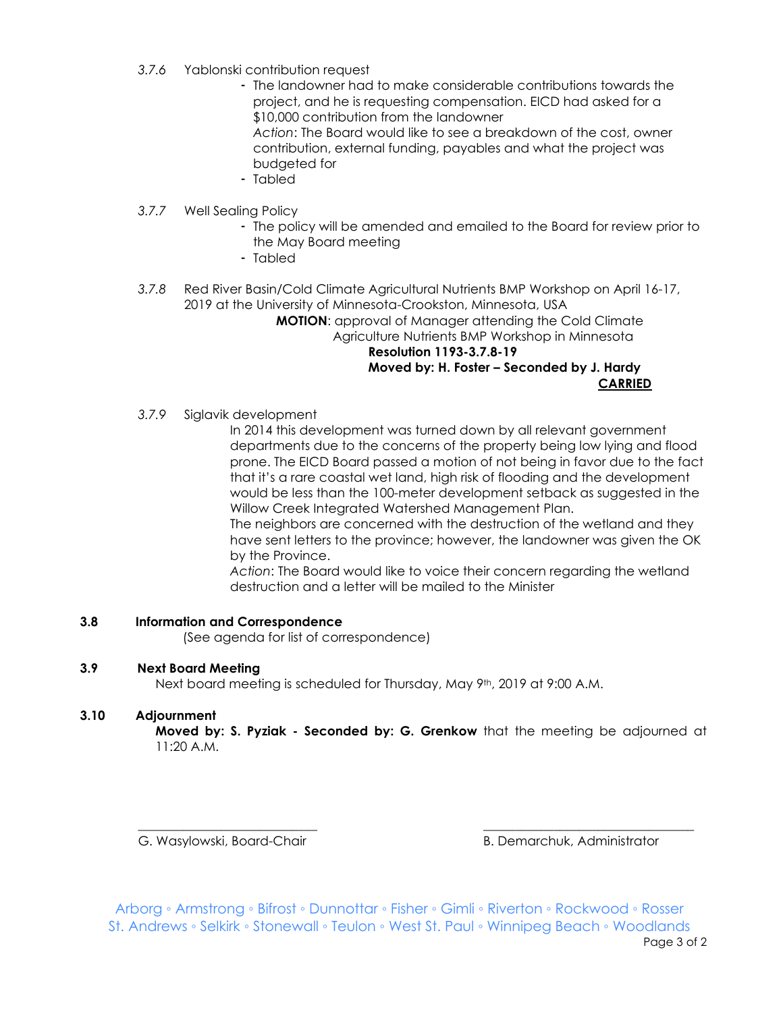- *3.7.6* Yablonski contribution request
	- The landowner had to make considerable contributions towards the project, and he is requesting compensation. EICD had asked for a \$10,000 contribution from the landowner *Action*: The Board would like to see a breakdown of the cost, owner contribution, external funding, payables and what the project was budgeted for
	- Tabled
- *3.7.7* Well Sealing Policy
	- The policy will be amended and emailed to the Board for review prior to the May Board meeting
	- Tabled
- *3.7.8* Red River Basin/Cold Climate Agricultural Nutrients BMP Workshop on April 16-17, 2019 at the University of Minnesota-Crookston, Minnesota, USA

**MOTION**: approval of Manager attending the Cold Climate Agriculture Nutrients BMP Workshop in Minnesota  **Resolution 1193-3.7.8-19 Moved by: H. Foster – Seconded by J. Hardy**

**CARRIED**

*3.7.9* Siglavik development

In 2014 this development was turned down by all relevant government departments due to the concerns of the property being low lying and flood prone. The EICD Board passed a motion of not being in favor due to the fact that it's a rare coastal wet land, high risk of flooding and the development would be less than the 100-meter development setback as suggested in the Willow Creek Integrated Watershed Management Plan.

The neighbors are concerned with the destruction of the wetland and they have sent letters to the province; however, the landowner was given the OK by the Province.

*Action*: The Board would like to voice their concern regarding the wetland destruction and a letter will be mailed to the Minister

# **3.8 Information and Correspondence**

(See agenda for list of correspondence)

# **3.9 Next Board Meeting**

Next board meeting is scheduled for Thursday, May 9th, 2019 at 9:00 A.M.

# **3.10 Adjournment**

**Moved by: S. Pyziak - Seconded by: G. Grenkow** that the meeting be adjourned at 11:20 A.M.

G. Wasylowski, Board-Chair **B. Demarchuk, Administrator** B. Demarchuk, Administrator

Arborg ◦ Armstrong ◦ Bifrost ◦ Dunnottar ◦ Fisher ◦ Gimli ◦ Riverton ◦ Rockwood ◦ Rosser St. Andrews ◦ Selkirk ◦ Stonewall ◦ Teulon ◦ West St. Paul ◦ Winnipeg Beach ◦ Woodlands

\_\_\_\_\_\_\_\_\_\_\_\_\_\_\_\_\_\_\_\_\_\_\_\_\_\_\_\_ \_\_\_\_\_\_\_\_\_\_\_\_\_\_\_\_\_\_\_\_\_\_\_\_\_\_\_\_\_\_\_\_\_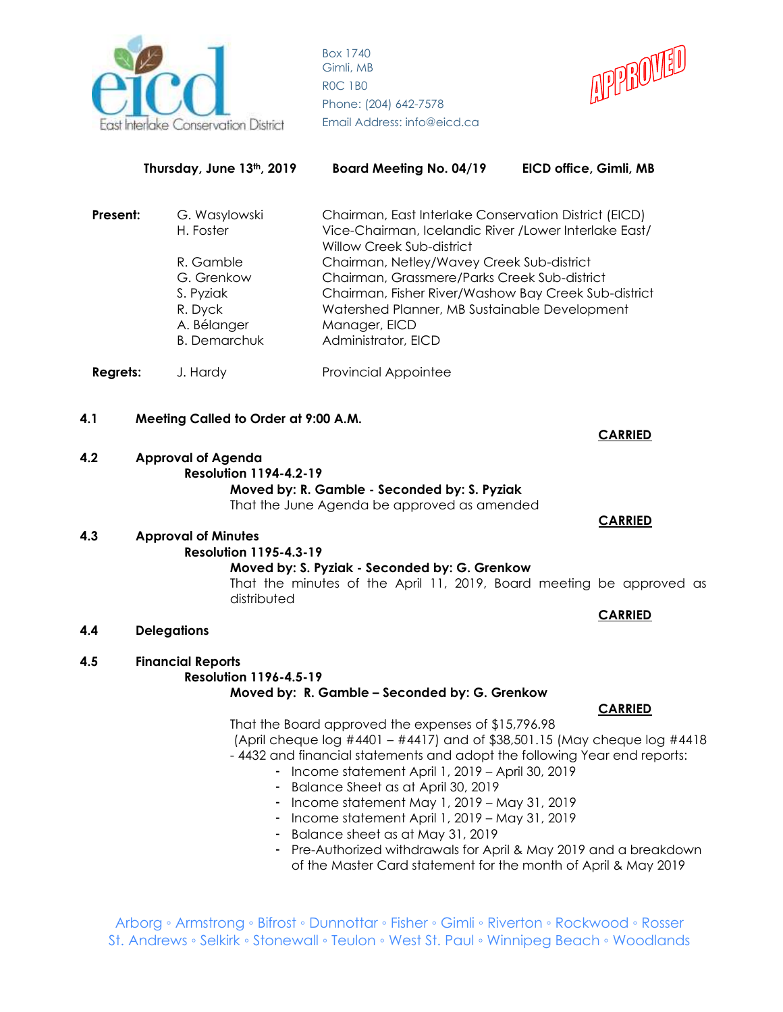



|                 | Thursday, June 13th, 2019                                                                                           | <b>Board Meeting No. 04/19</b>                                                                                                                                                                                                                                                                                                                                                                                                                                                  | EICD office, Gimli, MB                                                                                                                                                  |
|-----------------|---------------------------------------------------------------------------------------------------------------------|---------------------------------------------------------------------------------------------------------------------------------------------------------------------------------------------------------------------------------------------------------------------------------------------------------------------------------------------------------------------------------------------------------------------------------------------------------------------------------|-------------------------------------------------------------------------------------------------------------------------------------------------------------------------|
| Present:        | G. Wasylowski<br>H. Foster<br>R. Gamble<br>G. Grenkow<br>S. Pyziak<br>R. Dyck<br>A. Bélanger<br><b>B.</b> Demarchuk | Chairman, East Interlake Conservation District (EICD)<br>Vice-Chairman, Icelandic River / Lower Interlake East/<br>Willow Creek Sub-district<br>Chairman, Netley/Wavey Creek Sub-district<br>Chairman, Grassmere/Parks Creek Sub-district<br>Chairman, Fisher River/Washow Bay Creek Sub-district<br>Watershed Planner, MB Sustainable Development<br>Manager, EICD<br>Administrator, EICD                                                                                      |                                                                                                                                                                         |
| <b>Regrets:</b> | J. Hardy                                                                                                            | <b>Provincial Appointee</b>                                                                                                                                                                                                                                                                                                                                                                                                                                                     |                                                                                                                                                                         |
| 4.1<br>4.2      | Meeting Called to Order at 9:00 A.M.<br><b>Approval of Agenda</b><br><b>Resolution 1194-4.2-19</b>                  |                                                                                                                                                                                                                                                                                                                                                                                                                                                                                 | <b>CARRIED</b>                                                                                                                                                          |
| 4.3             | <b>Approval of Minutes</b><br><b>Resolution 1195-4.3-19</b><br>distributed                                          | Moved by: R. Gamble - Seconded by: S. Pyziak<br>That the June Agenda be approved as amended<br>Moved by: S. Pyziak - Seconded by: G. Grenkow                                                                                                                                                                                                                                                                                                                                    | <b>CARRIED</b><br>That the minutes of the April 11, 2019, Board meeting be approved as                                                                                  |
| 4.4             | <b>Delegations</b>                                                                                                  |                                                                                                                                                                                                                                                                                                                                                                                                                                                                                 | <b>CARRIED</b>                                                                                                                                                          |
| 4.5             | <b>Financial Reports</b><br><b>Resolution 1196-4.5-19</b><br>-<br>-<br>-                                            | Moved by: R. Gamble - Seconded by: G. Grenkow<br>That the Board approved the expenses of \$15,796.98<br>-4432 and financial statements and adopt the following Year end reports:<br>Income statement April 1, 2019 - April 30, 2019<br>Balance Sheet as at April 30, 2019<br>Income statement May 1, 2019 - May 31, 2019<br>Income statement April 1, 2019 - May 31, 2019<br>Balance sheet as at May 31, 2019<br>of the Master Card statement for the month of April & May 2019 | <b>CARRIED</b><br>(April cheque log $\#4401 - #4417$ ) and of \$38,501.15 (May cheque log $\#4418$ )<br>Pre-Authorized withdrawals for April & May 2019 and a breakdown |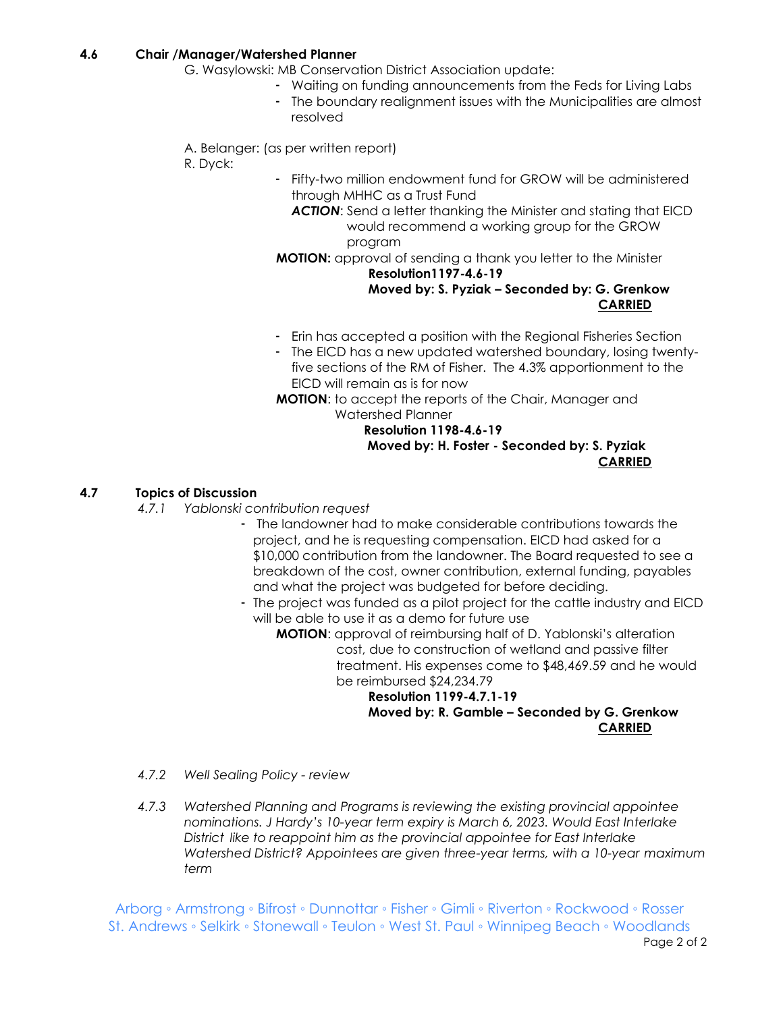# **4.6 Chair /Manager/Watershed Planner**

- G. Wasylowski: MB Conservation District Association update:
	- Waiting on funding announcements from the Feds for Living Labs
	- The boundary realignment issues with the Municipalities are almost resolved
- A. Belanger: (as per written report)
- R. Dyck:
- Fifty-two million endowment fund for GROW will be administered through MHHC as a Trust Fund
	- *ACTION*: Send a letter thanking the Minister and stating that EICD would recommend a working group for the GROW program

# **MOTION:** approval of sending a thank you letter to the Minister **Resolution1197-4.6-19**

# **Moved by: S. Pyziak – Seconded by: G. Grenkow CARRIED**

- Erin has accepted a position with the Regional Fisheries Section
- The EICD has a new updated watershed boundary, losing twentyfive sections of the RM of Fisher. The 4.3% apportionment to the EICD will remain as is for now

**MOTION**: to accept the reports of the Chair, Manager and Watershed Planner

# **Resolution 1198-4.6-19 Moved by: H. Foster - Seconded by: S. Pyziak CARRIED**

# **4.7 Topics of Discussion**

- *4.7.1 Yablonski contribution request*
	- The landowner had to make considerable contributions towards the project, and he is requesting compensation. EICD had asked for a \$10,000 contribution from the landowner. The Board requested to see a breakdown of the cost, owner contribution, external funding, payables and what the project was budgeted for before deciding.
	- The project was funded as a pilot project for the cattle industry and EICD will be able to use it as a demo for future use
		- **MOTION**: approval of reimbursing half of D. Yablonski's alteration cost, due to construction of wetland and passive filter treatment. His expenses come to \$48,469.59 and he would be reimbursed \$24,234.79

#### **Resolution 1199-4.7.1-19 Moved by: R. Gamble – Seconded by G. Grenkow CARRIED**

- *4.7.2 Well Sealing Policy - review*
- *4.7.3 Watershed Planning and Programs is reviewing the existing provincial appointee nominations. J Hardy's 10-year term expiry is March 6, 2023. Would East Interlake District like to reappoint him as the provincial appointee for East Interlake Watershed District? Appointees are given three-year terms, with a 10-year maximum term*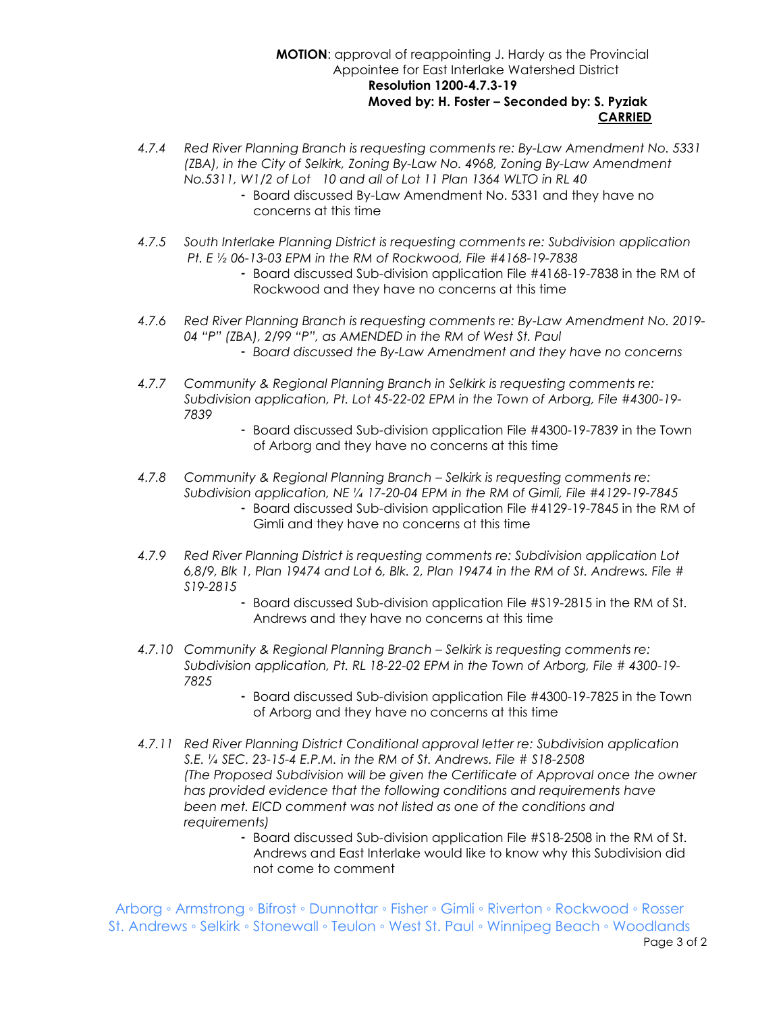#### **MOTION**: approval of reappointing J. Hardy as the Provincial Appointee for East Interlake Watershed District  **Resolution 1200-4.7.3-19 Moved by: H. Foster – Seconded by: S. Pyziak CARRIED**

- *4.7.4 Red River Planning Branch is requesting comments re: By-Law Amendment No. 5331 (ZBA), in the City of Selkirk, Zoning By-Law No. 4968, Zoning By-Law Amendment No.5311, W1/2 of Lot 10 and all of Lot 11 Plan 1364 WLTO in RL 40*
	- Board discussed By-Law Amendment No. 5331 and they have no concerns at this time
- *4.7.5 South Interlake Planning District is requesting comments re: Subdivision application Pt. E ½ 06-13-03 EPM in the RM of Rockwood, File #4168-19-7838*
	- Board discussed Sub-division application File #4168-19-7838 in the RM of Rockwood and they have no concerns at this time
- *4.7.6 Red River Planning Branch is requesting comments re: By-Law Amendment No. 2019- 04 "P" (ZBA), 2/99 "P", as AMENDED in the RM of West St. Paul* - *Board discussed the By-Law Amendment and they have no concerns*
- *4.7.7 Community & Regional Planning Branch in Selkirk is requesting comments re: Subdivision application, Pt. Lot 45-22-02 EPM in the Town of Arborg, File #4300-19- 7839*
	- Board discussed Sub-division application File #4300-19-7839 in the Town of Arborg and they have no concerns at this time
- *4.7.8 Community & Regional Planning Branch – Selkirk is requesting comments re: Subdivision application, NE ¼ 17-20-04 EPM in the RM of Gimli, File #4129-19-7845*
	- Board discussed Sub-division application File #4129-19-7845 in the RM of Gimli and they have no concerns at this time
- *4.7.9 Red River Planning District is requesting comments re: Subdivision application Lot 6,8/9, Blk 1, Plan 19474 and Lot 6, Blk. 2, Plan 19474 in the RM of St. Andrews. File # S19-2815* 
	- Board discussed Sub-division application File #S19-2815 in the RM of St. Andrews and they have no concerns at this time
- *4.7.10 Community & Regional Planning Branch – Selkirk is requesting comments re: Subdivision application, Pt. RL 18-22-02 EPM in the Town of Arborg, File # 4300-19- 7825*
	- Board discussed Sub-division application File #4300-19-7825 in the Town of Arborg and they have no concerns at this time
- *4.7.11 Red River Planning District Conditional approval letter re: Subdivision application S.E. ¼ SEC. 23-15-4 E.P.M. in the RM of St. Andrews. File # S18-2508 (The Proposed Subdivision will be given the Certificate of Approval once the owner has provided evidence that the following conditions and requirements have been met. EICD comment was not listed as one of the conditions and requirements)*
	- Board discussed Sub-division application File #S18-2508 in the RM of St. Andrews and East Interlake would like to know why this Subdivision did not come to comment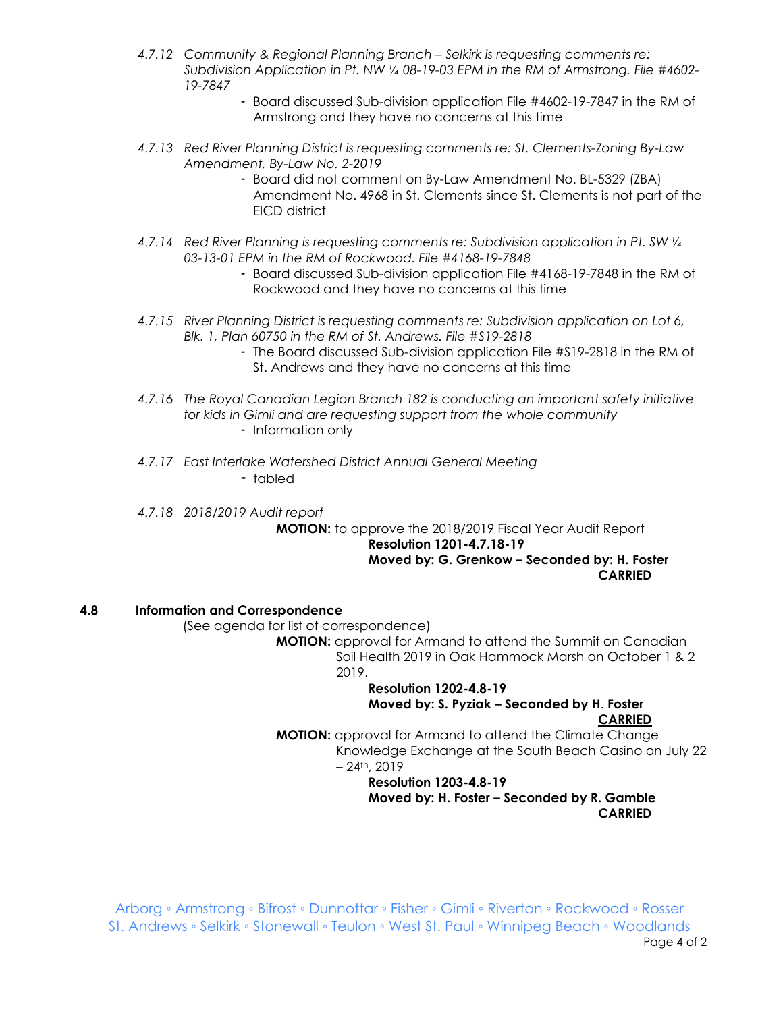- *4.7.12 Community & Regional Planning Branch – Selkirk is requesting comments re: Subdivision Application in Pt. NW ¼ 08-19-03 EPM in the RM of Armstrong. File #4602- 19-7847*
	- Board discussed Sub-division application File #4602-19-7847 in the RM of Armstrong and they have no concerns at this time
- *4.7.13 Red River Planning District is requesting comments re: St. Clements-Zoning By-Law Amendment, By-Law No. 2-2019*
	- Board did not comment on By-Law Amendment No. BL-5329 (ZBA) Amendment No. 4968 in St. Clements since St. Clements is not part of the EICD district
- *4.7.14 Red River Planning is requesting comments re: Subdivision application in Pt. SW ¼ 03-13-01 EPM in the RM of Rockwood. File #4168-19-7848*
	- Board discussed Sub-division application File #4168-19-7848 in the RM of Rockwood and they have no concerns at this time
- *4.7.15 River Planning District is requesting comments re: Subdivision application on Lot 6, Blk. 1, Plan 60750 in the RM of St. Andrews. File #S19-2818*
	- The Board discussed Sub-division application File #S19-2818 in the RM of St. Andrews and they have no concerns at this time
- *4.7.16 The Royal Canadian Legion Branch 182 is conducting an important safety initiative for kids in Gimli and are requesting support from the whole community* - Information only
- *4.7.17 East Interlake Watershed District Annual General Meeting*

- tabled

*4.7.18 2018/2019 Audit report*

**MOTION:** to approve the 2018/2019 Fiscal Year Audit Report

#### **Resolution 1201-4.7.18-19 Moved by: G. Grenkow – Seconded by: H. Foster CARRIED**

# **4.8 Information and Correspondence**

(See agenda for list of correspondence)

**MOTION:** approval for Armand to attend the Summit on Canadian Soil Health 2019 in Oak Hammock Marsh on October 1 & 2 2019.

#### **Resolution 1202-4.8-19 Moved by: S. Pyziak – Seconded by H**. **Foster CARRIED**

**MOTION:** approval for Armand to attend the Climate Change Knowledge Exchange at the South Beach Casino on July 22  $-24$ <sup>th</sup>, 2019

#### **Resolution 1203-4.8-19 Moved by: H. Foster – Seconded by R. Gamble CARRIED**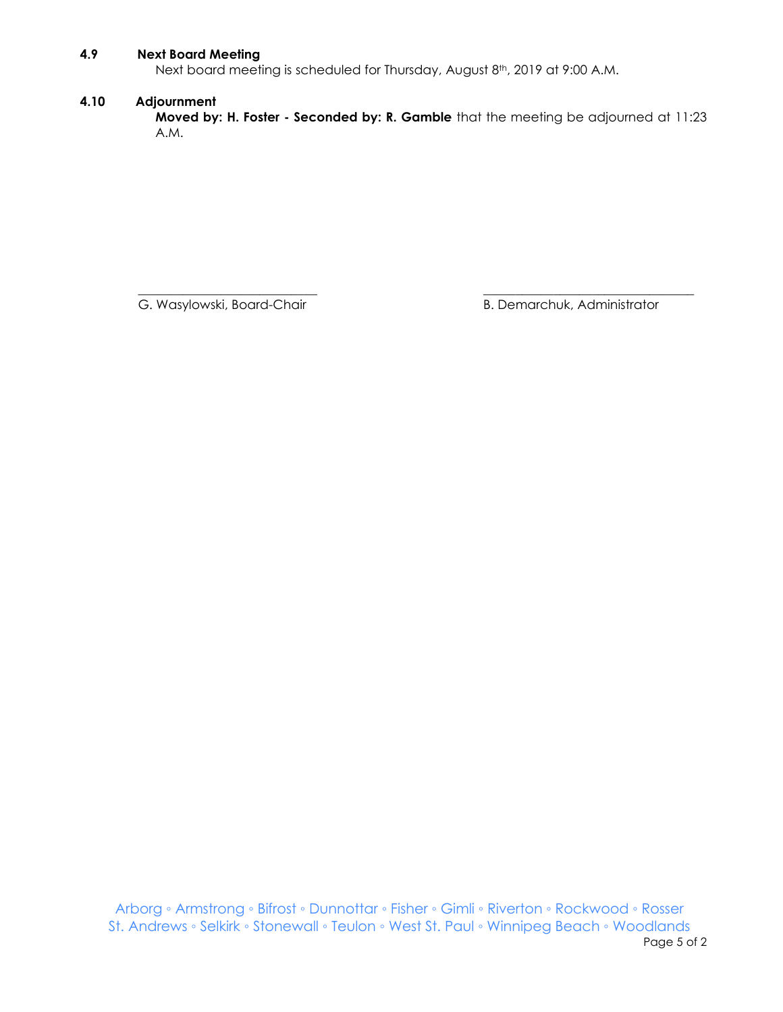# **4.9 Next Board Meeting**

Next board meeting is scheduled for Thursday, August 8<sup>th</sup>, 2019 at 9:00 A.M.

# **4.10 Adjournment**

**Moved by: H. Foster - Seconded by: R. Gamble** that the meeting be adjourned at 11:23 A.M.

 $\overline{\phantom{a}}$  , and the contribution of the contribution of the contribution of the contribution of the contribution of the contribution of the contribution of the contribution of the contribution of the contribution of the G. Wasylowski, Board-Chair **B. Demarchuk, Administrator** B. Demarchuk, Administrator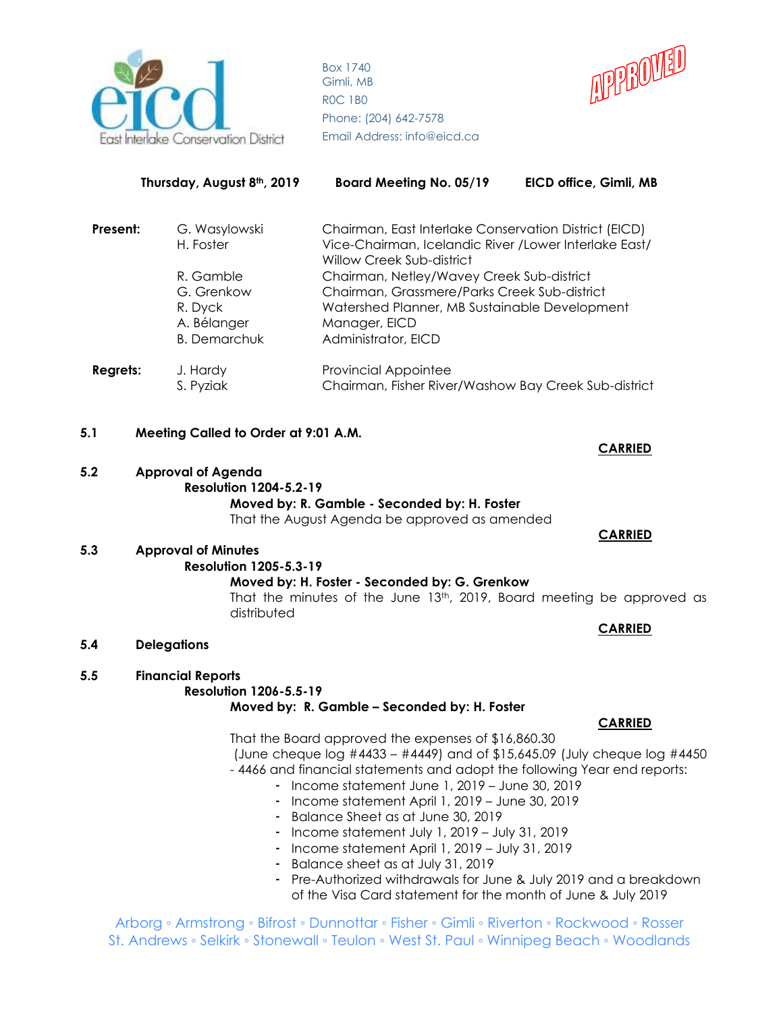

**Thursday, August 8th, 2019 Board Meeting No. 05/19 EICD office, Gimli, MB**



|          | 11101300y, M090310, Z017 | <b>DOMIN MICCITILY IND. 00/17</b>                                                                                            | LIGA QIIICE, QIIIIII, MD |
|----------|--------------------------|------------------------------------------------------------------------------------------------------------------------------|--------------------------|
| Present: | G. Wasylowski            | Chairman, East Interlake Conservation District (EICD)<br>Vice-Chairman, Icelandic River / Lower Interlake East/<br>H. Foster |                          |
|          |                          | Willow Creek Sub-district                                                                                                    |                          |
|          | R. Gamble                | Chairman, Netley/Wavey Creek Sub-district                                                                                    |                          |
|          | G. Grenkow               | Chairman, Grassmere/Parks Creek Sub-district                                                                                 |                          |
|          | R. Dyck                  | Watershed Planner, MB Sustainable Development                                                                                |                          |
|          | A. Bélanger              | Manager, EICD                                                                                                                |                          |
|          | <b>B.</b> Demarchuk      | Administrator, EICD                                                                                                          |                          |
| Regrets: | J. Hardy                 | <b>Provincial Appointee</b>                                                                                                  |                          |
|          | S. Pyziak                | Chairman, Fisher River/Washow Bay Creek Sub-district                                                                         |                          |
|          |                          |                                                                                                                              |                          |

# **5.1 Meeting Called to Order at 9:01 A.M.**

#### **5.2 Approval of Agenda Resolution 1204-5.2-19 Moved by: R. Gamble - Seconded by: H. Foster** That the August Agenda be approved as amended

#### **5.3 Approval of Minutes**

# **Resolution 1205-5.3-19**

#### **Moved by: H. Foster - Seconded by: G. Grenkow**

That the minutes of the June 13<sup>th</sup>, 2019, Board meeting be approved as distributed

**5.4 Delegations**

# **5.5 Financial Reports**

#### **Resolution 1206-5.5-19**

#### **Moved by: R. Gamble – Seconded by: H. Foster**

That the Board approved the expenses of \$16,860.30

- (June cheque log #4433 #4449) and of \$15,645.09 (July cheque log #4450 - 4466 and financial statements and adopt the following Year end reports:
	- Income statement June 1, 2019 June 30, 2019
	- Income statement April 1, 2019 June 30, 2019
	- Balance Sheet as at June 30, 2019
	- Income statement July 1, 2019 July 31, 2019
	- Income statement April 1, 2019 July 31, 2019
	- Balance sheet as at July 31, 2019
	- Pre-Authorized withdrawals for June & July 2019 and a breakdown of the Visa Card statement for the month of June & July 2019

Arborg ◦ Armstrong ◦ Bifrost ◦ Dunnottar ◦ Fisher ◦ Gimli ◦ Riverton ◦ Rockwood ◦ Rosser St. Andrews ◦ Selkirk ◦ Stonewall ◦ Teulon ◦ West St. Paul ◦ Winnipeg Beach ◦ Woodlands

# **CARRIED**

 **CARRIED** 

# **CARRIED**

# **CARRIED**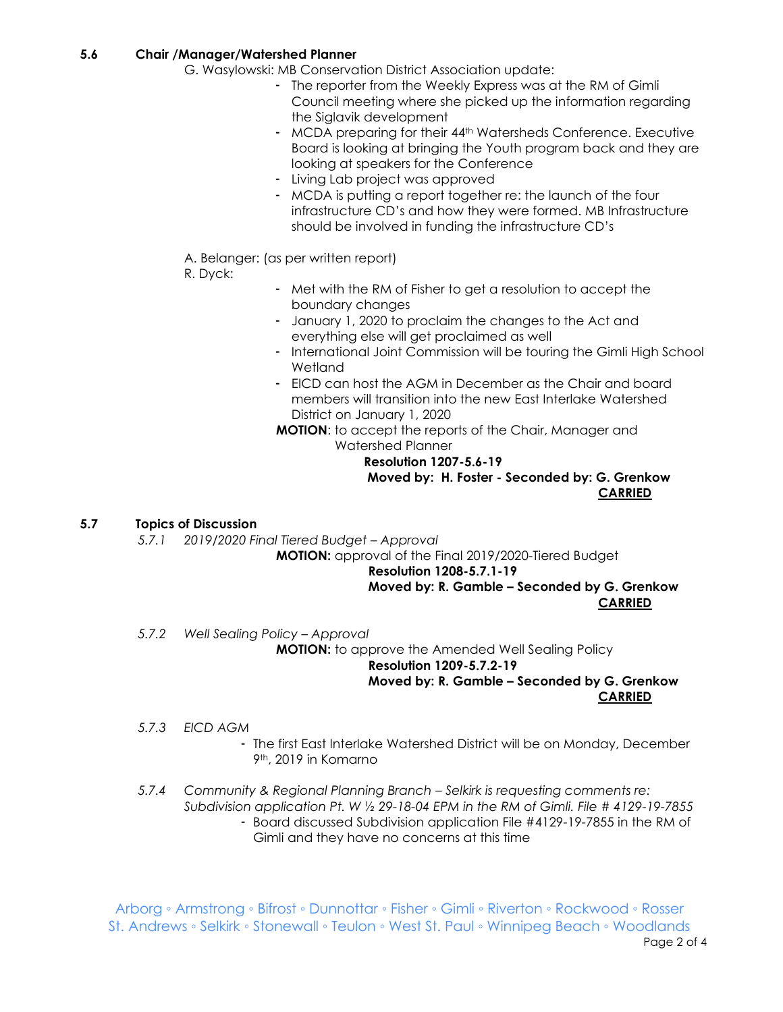# **5.6 Chair /Manager/Watershed Planner**

- G. Wasylowski: MB Conservation District Association update:
	- The reporter from the Weekly Express was at the RM of Gimli Council meeting where she picked up the information regarding the Siglavik development
	- MCDA preparing for their 44<sup>th</sup> Watersheds Conference. Executive Board is looking at bringing the Youth program back and they are looking at speakers for the Conference
	- Living Lab project was approved
	- MCDA is putting a report together re: the launch of the four infrastructure CD's and how they were formed. MB Infrastructure should be involved in funding the infrastructure CD's
- A. Belanger: (as per written report)
- R. Dyck:
- Met with the RM of Fisher to get a resolution to accept the boundary changes
- January 1, 2020 to proclaim the changes to the Act and everything else will get proclaimed as well
- International Joint Commission will be touring the Gimli High School Wetland
- EICD can host the AGM in December as the Chair and board members will transition into the new East Interlake Watershed District on January 1, 2020
- **MOTION**: to accept the reports of the Chair, Manager and Watershed Planner

# **Resolution 1207-5.6-19 Moved by: H. Foster - Seconded by: G. Grenkow CARRIED**

# **5.7 Topics of Discussion**

*5.7.1 2019/2020 Final Tiered Budget – Approval*

**MOTION:** approval of the Final 2019/2020-Tiered Budget

# **Resolution 1208-5.7.1-19**

# **Moved by: R. Gamble – Seconded by G. Grenkow CARRIED**

*5.7.2 Well Sealing Policy – Approval*

**MOTION:** to approve the Amended Well Sealing Policy **Resolution 1209-5.7.2-19 Moved by: R. Gamble – Seconded by G. Grenkow**

# **CARRIED**

- *5.7.3 EICD AGM*
	- The first East Interlake Watershed District will be on Monday, December 9th, 2019 in Komarno
- *5.7.4 Community & Regional Planning Branch – Selkirk is requesting comments re: Subdivision application Pt. W ½ 29-18-04 EPM in the RM of Gimli. File # 4129-19-7855*
	- Board discussed Subdivision application File #4129-19-7855 in the RM of Gimli and they have no concerns at this time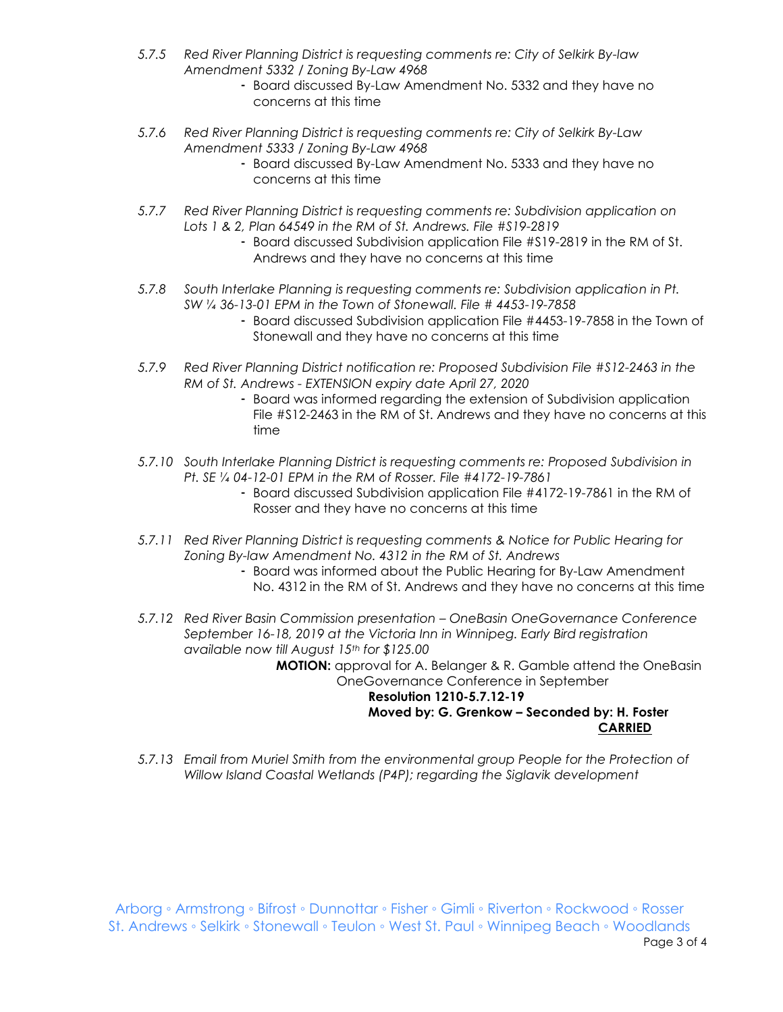- *5.7.5 Red River Planning District is requesting comments re: City of Selkirk By-law Amendment 5332 / Zoning By-Law 4968*
	- Board discussed By-Law Amendment No. 5332 and they have no concerns at this time
- *5.7.6 Red River Planning District is requesting comments re: City of Selkirk By-Law Amendment 5333 / Zoning By-Law 4968*
	- Board discussed By-Law Amendment No. 5333 and they have no concerns at this time
- *5.7.7 Red River Planning District is requesting comments re: Subdivision application on Lots 1 & 2, Plan 64549 in the RM of St. Andrews. File #S19-2819*
	- Board discussed Subdivision application File #S19-2819 in the RM of St. Andrews and they have no concerns at this time
- *5.7.8 South Interlake Planning is requesting comments re: Subdivision application in Pt. SW ¼ 36-13-01 EPM in the Town of Stonewall. File # 4453-19-7858*
	- Board discussed Subdivision application File #4453-19-7858 in the Town of Stonewall and they have no concerns at this time
- *5.7.9 Red River Planning District notification re: Proposed Subdivision File #S12-2463 in the RM of St. Andrews - EXTENSION expiry date April 27, 2020*
	- Board was informed regarding the extension of Subdivision application File #S12-2463 in the RM of St. Andrews and they have no concerns at this time
- *5.7.10 South Interlake Planning District is requesting comments re: Proposed Subdivision in Pt. SE ¼ 04-12-01 EPM in the RM of Rosser. File #4172-19-7861*
	- Board discussed Subdivision application File #4172-19-7861 in the RM of Rosser and they have no concerns at this time
- *5.7.11 Red River Planning District is requesting comments & Notice for Public Hearing for Zoning By-law Amendment No. 4312 in the RM of St. Andrews*
	- Board was informed about the Public Hearing for By-Law Amendment No. 4312 in the RM of St. Andrews and they have no concerns at this time
- *5.7.12 Red River Basin Commission presentation – OneBasin OneGovernance Conference September 16-18, 2019 at the Victoria Inn in Winnipeg. Early Bird registration available now till August 15th for \$125.00* **MOTION:** approval for A. Belanger & R. Gamble attend the OneBasin OneGovernance Conference in September

#### **Resolution 1210-5.7.12-19 Moved by: G. Grenkow – Seconded by: H. Foster CARRIED**

*5.7.13 Email from Muriel Smith from the environmental group People for the Protection of Willow Island Coastal Wetlands (P4P); regarding the Siglavik development*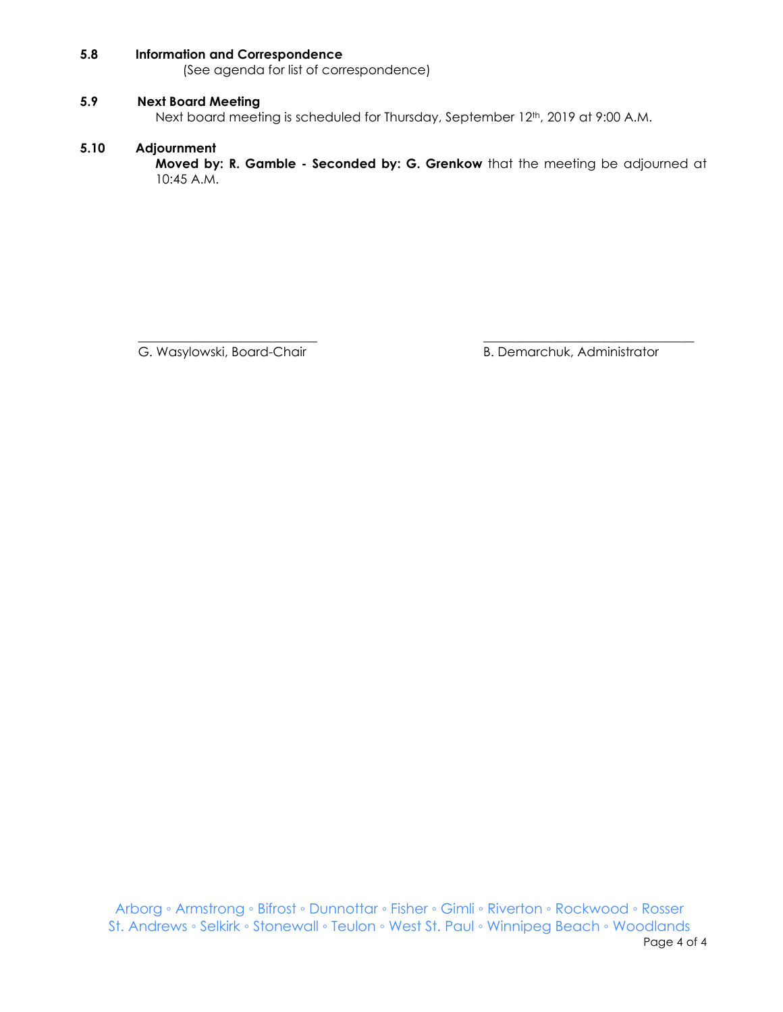# **5.8 Information and Correspondence**

(See agenda for list of correspondence)

#### **5.9 Next Board Meeting**

Next board meeting is scheduled for Thursday, September 12<sup>th</sup>, 2019 at 9:00 A.M.

#### **5.10 Adjournment**

**Moved by: R. Gamble - Seconded by: G. Grenkow** that the meeting be adjourned at 10:45 A.M.

 $\overline{\phantom{a}}$  , and the contribution of the contribution of the contribution of the contribution of the contribution of the contribution of the contribution of the contribution of the contribution of the contribution of the

G. Wasylowski, Board-Chair **B. Demarchuk, Administrator** B. Demarchuk, Administrator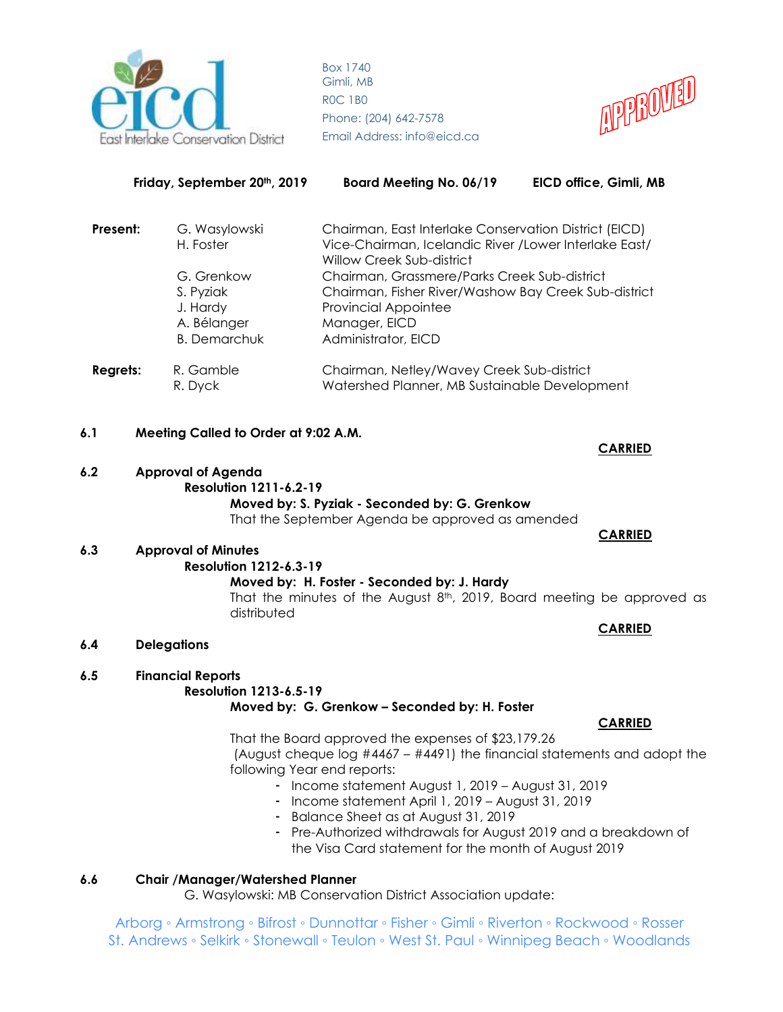



|          | Friday, September 20th, 2019                                              | <b>Board Meeting No. 06/19</b>                                                                                                                                              | EICD office, Gimli, MB |
|----------|---------------------------------------------------------------------------|-----------------------------------------------------------------------------------------------------------------------------------------------------------------------------|------------------------|
| Present: | G. Wasylowski<br>H. Foster                                                | Chairman, East Interlake Conservation District (EICD)<br>Vice-Chairman, Icelandic River / Lower Interlake East/<br>Willow Creek Sub-district                                |                        |
|          | G. Grenkow<br>S. Pyziak<br>J. Hardy<br>A. Bélanger<br><b>B.</b> Demarchuk | Chairman, Grassmere/Parks Creek Sub-district<br>Chairman, Fisher River/Washow Bay Creek Sub-district<br><b>Provincial Appointee</b><br>Manager, EICD<br>Administrator, EICD |                        |
| Regrets: | R. Gamble<br>R. Dyck                                                      | Chairman, Netley/Wavey Creek Sub-district<br>Watershed Planner, MB Sustainable Development                                                                                  |                        |

- **6.1 Meeting Called to Order at 9:02 A.M.**
- **6.2 Approval of Agenda Resolution 1211-6.2-19 Moved by: S. Pyziak - Seconded by: G. Grenkow**

That the September Agenda be approved as amended

# **6.3 Approval of Minutes**

# **Resolution 1212-6.3-19**

**Moved by: H. Foster - Seconded by: J. Hardy**

That the minutes of the August  $8<sup>th</sup>$ , 2019, Board meeting be approved as distributed

**6.4 Delegations**

# **6.5 Financial Reports**

#### **Resolution 1213-6.5-19**

**Moved by: G. Grenkow – Seconded by: H. Foster**

That the Board approved the expenses of \$23,179.26

(August cheque log #4467 – #4491) the financial statements and adopt the following Year end reports:

- Income statement August 1, 2019 August 31, 2019
- Income statement April 1, 2019 August 31, 2019
- Balance Sheet as at August 31, 2019
- Pre-Authorized withdrawals for August 2019 and a breakdown of the Visa Card statement for the month of August 2019

# **6.6 Chair /Manager/Watershed Planner**

G. Wasylowski: MB Conservation District Association update:

Arborg ◦ Armstrong ◦ Bifrost ◦ Dunnottar ◦ Fisher ◦ Gimli ◦ Riverton ◦ Rockwood ◦ Rosser St. Andrews ◦ Selkirk ◦ Stonewall ◦ Teulon ◦ West St. Paul ◦ Winnipeg Beach ◦ Woodlands

# **CARRIED**

 **CARRIED** 

# **CARRIED**

# **CARRIED**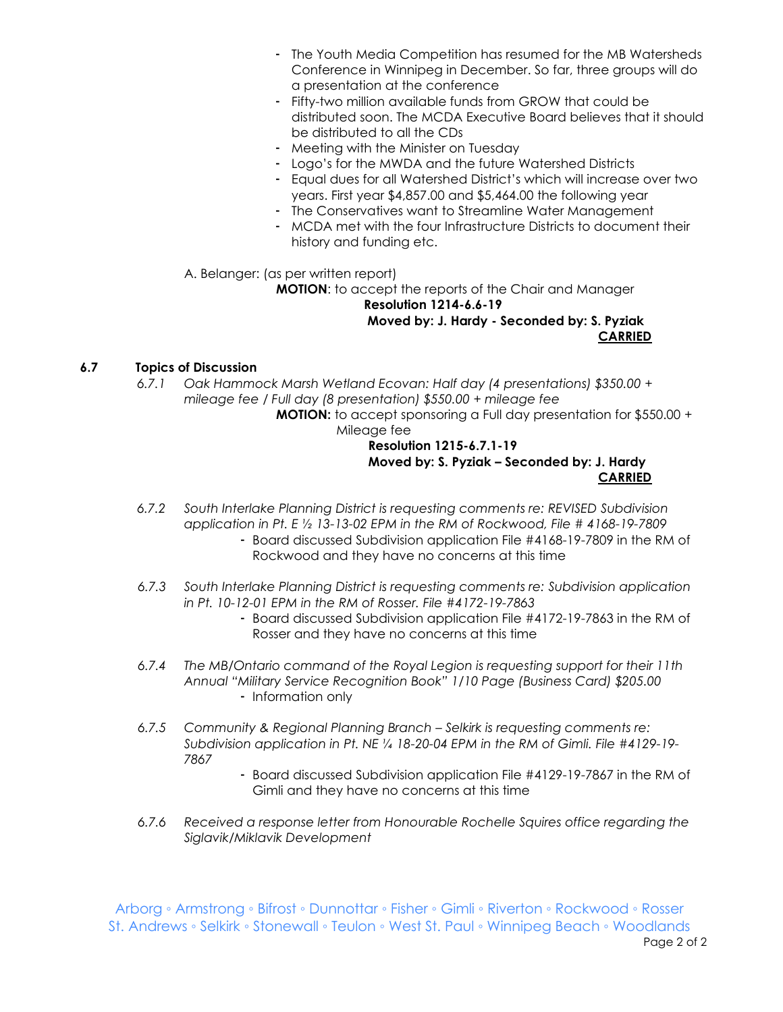- The Youth Media Competition has resumed for the MB Watersheds Conference in Winnipeg in December. So far, three groups will do a presentation at the conference
- Fifty-two million available funds from GROW that could be distributed soon. The MCDA Executive Board believes that it should be distributed to all the CDs
- Meeting with the Minister on Tuesday
- Logo's for the MWDA and the future Watershed Districts
- Equal dues for all Watershed District's which will increase over two years. First year \$4,857.00 and \$5,464.00 the following year
- The Conservatives want to Streamline Water Management
- MCDA met with the four Infrastructure Districts to document their history and funding etc.
- A. Belanger: (as per written report)

**MOTION**: to accept the reports of the Chair and Manager **Resolution 1214-6.6-19 Moved by: J. Hardy - Seconded by: S. Pyziak CARRIED**

# **6.7 Topics of Discussion**

*6.7.1 Oak Hammock Marsh Wetland Ecovan: Half day (4 presentations) \$350.00 + mileage fee / Full day (8 presentation) \$550.00 + mileage fee*

**MOTION:** to accept sponsoring a Full day presentation for \$550.00 + Mileage fee

# **Resolution 1215-6.7.1-19 Moved by: S. Pyziak – Seconded by: J. Hardy CARRIED**

- *6.7.2 South Interlake Planning District is requesting comments re: REVISED Subdivision application in Pt. E ½ 13-13-02 EPM in the RM of Rockwood, File # 4168-19-7809*
	- Board discussed Subdivision application File #4168-19-7809 in the RM of Rockwood and they have no concerns at this time
- *6.7.3 South Interlake Planning District is requesting comments re: Subdivision application in Pt. 10-12-01 EPM in the RM of Rosser. File #4172-19-7863*
	- Board discussed Subdivision application File #4172-19-7863 in the RM of Rosser and they have no concerns at this time
- *6.7.4 The MB/Ontario command of the Royal Legion is requesting support for their 11th Annual "Military Service Recognition Book" 1/10 Page (Business Card) \$205.00* - Information only
- *6.7.5 Community & Regional Planning Branch – Selkirk is requesting comments re: Subdivision application in Pt. NE ¼ 18-20-04 EPM in the RM of Gimli. File #4129-19- 7867*
	- Board discussed Subdivision application File #4129-19-7867 in the RM of Gimli and they have no concerns at this time
- *6.7.6 Received a response letter from Honourable Rochelle Squires office regarding the Siglavik/Miklavik Development*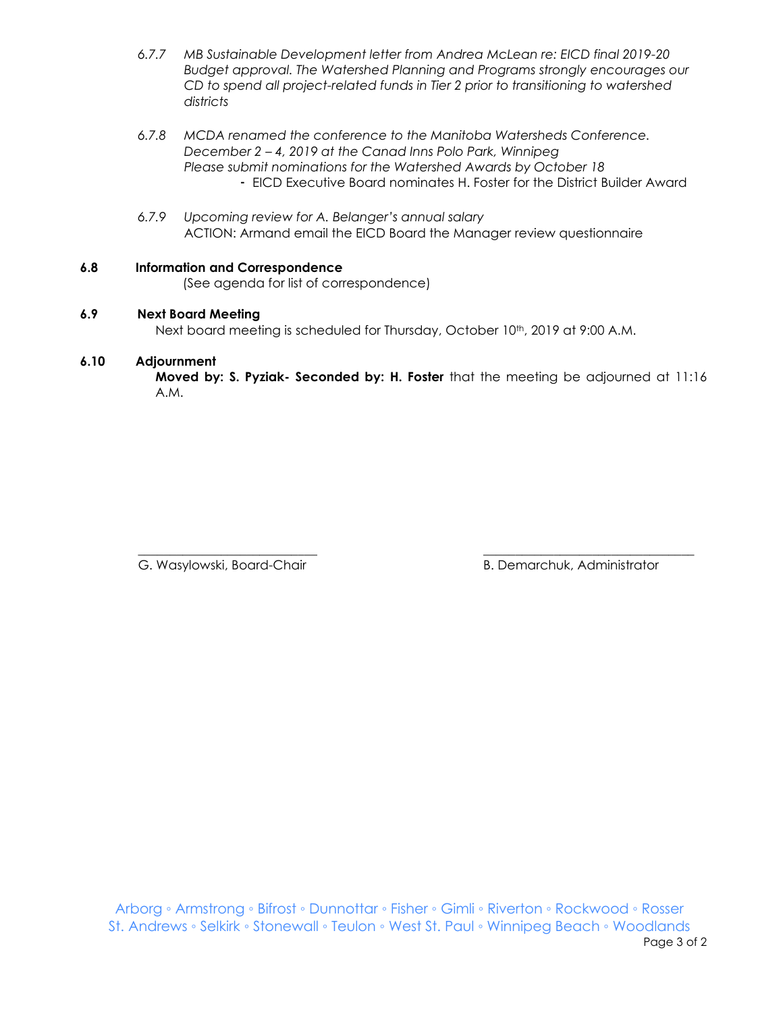- *6.7.7 MB Sustainable Development letter from Andrea McLean re: EICD final 2019-20 Budget approval. The Watershed Planning and Programs strongly encourages our CD to spend all project-related funds in Tier 2 prior to transitioning to watershed districts*
- *6.7.8 MCDA renamed the conference to the Manitoba Watersheds Conference. December 2 – 4, 2019 at the Canad Inns Polo Park, Winnipeg Please submit nominations for the Watershed Awards by October 18* - EICD Executive Board nominates H. Foster for the District Builder Award
- *6.7.9 Upcoming review for A. Belanger's annual salary*  ACTION: Armand email the EICD Board the Manager review questionnaire

# **6.8 Information and Correspondence**

(See agenda for list of correspondence)

# **6.9 Next Board Meeting**

Next board meeting is scheduled for Thursday, October 10<sup>th</sup>, 2019 at 9:00 A.M.

# **6.10 Adjournment**

**Moved by: S. Pyziak- Seconded by: H. Foster** that the meeting be adjourned at 11:16 A.M.

\_\_\_\_\_\_\_\_\_\_\_\_\_\_\_\_\_\_\_\_\_\_\_\_\_\_\_\_ \_\_\_\_\_\_\_\_\_\_\_\_\_\_\_\_\_\_\_\_\_\_\_\_\_\_\_\_\_\_\_\_\_ G. Wasylowski, Board-Chair **B. Demarchuk, Administrator** B. Demarchuk, Administrator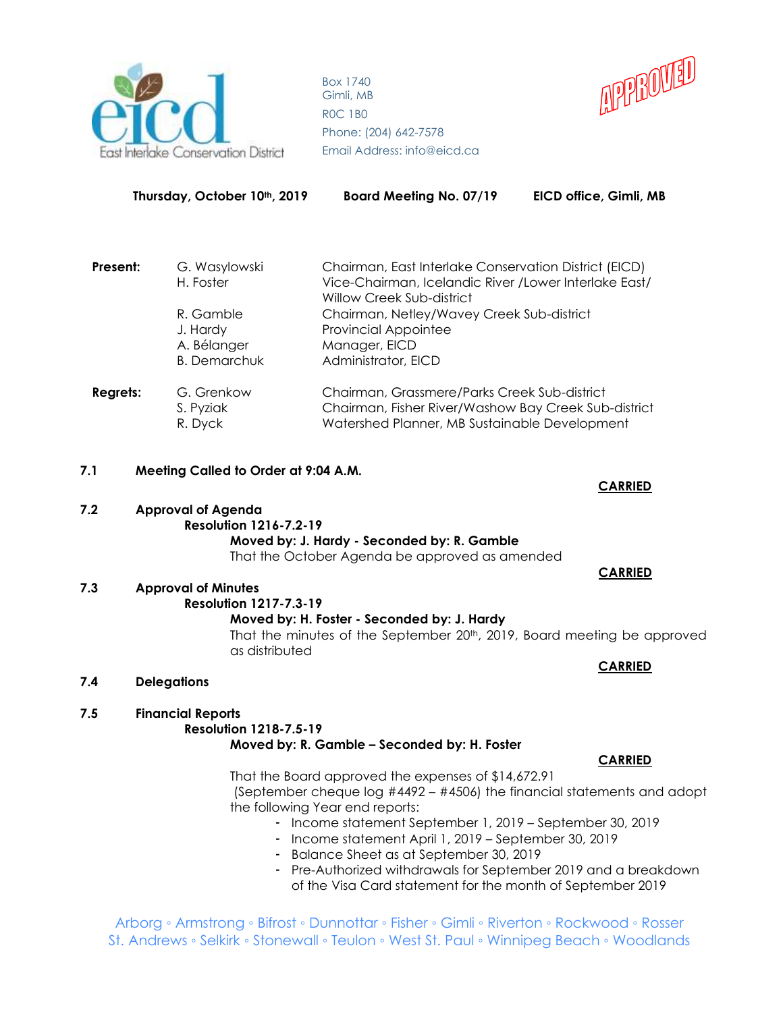

**Thursday, October 10th, 2019 Board Meeting No. 07/19 EICD office, Gimli, MB**



| Present: | G. Wasylowski       | Chairman, East Interlake Conservation District (EICD) |  |  |
|----------|---------------------|-------------------------------------------------------|--|--|
|          | H. Foster           | Vice-Chairman, Icelandic River /Lower Interlake East/ |  |  |
|          |                     | <b>Willow Creek Sub-district</b>                      |  |  |
|          | R. Gamble           | Chairman, Netley/Wavey Creek Sub-district             |  |  |
|          | J. Hardy            | <b>Provincial Appointee</b>                           |  |  |
|          | A. Bélanger         | Manager, EICD                                         |  |  |
|          | <b>B.</b> Demarchuk | Administrator, EICD                                   |  |  |
| Regrets: | G. Grenkow          | Chairman, Grassmere/Parks Creek Sub-district          |  |  |
|          | S. Pyziak           | Chairman, Fisher River/Washow Bay Creek Sub-district  |  |  |
|          | R. Dyck             | Watershed Planner, MB Sustainable Development         |  |  |

**7.1 Meeting Called to Order at 9:04 A.M.**

# **7.2 Approval of Agenda**

# **Resolution 1216-7.2-19**

**Moved by: J. Hardy - Seconded by: R. Gamble** That the October Agenda be approved as amended

# **7.3 Approval of Minutes**

# **Resolution 1217-7.3-19**

# **Moved by: H. Foster - Seconded by: J. Hardy**

That the minutes of the September 20th, 2019, Board meeting be approved as distributed

**CARRIED**

**CARRIED**

# **7.4 Delegations**

# **7.5 Financial Reports**

# **Resolution 1218-7.5-19**

# **Moved by: R. Gamble – Seconded by: H. Foster**

That the Board approved the expenses of \$14,672.91 (September cheque log #4492 – #4506) the financial statements and adopt the following Year end reports:

- Income statement September 1, 2019 September 30, 2019
- Income statement April 1, 2019 September 30, 2019
- Balance Sheet as at September 30, 2019
- Pre-Authorized withdrawals for September 2019 and a breakdown of the Visa Card statement for the month of September 2019

Arborg ◦ Armstrong ◦ Bifrost ◦ Dunnottar ◦ Fisher ◦ Gimli ◦ Riverton ◦ Rockwood ◦ Rosser St. Andrews ◦ Selkirk ◦ Stonewall ◦ Teulon ◦ West St. Paul ◦ Winnipeg Beach ◦ Woodlands

# **CARRIED**

 **CARRIED**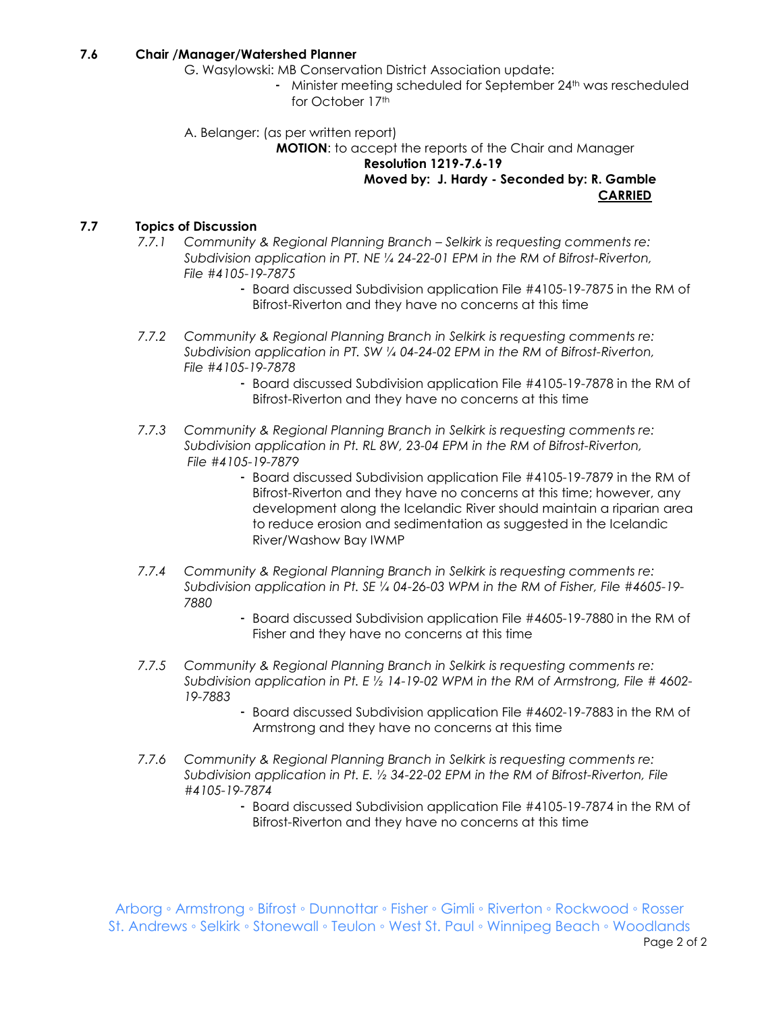# **7.6 Chair /Manager/Watershed Planner**

- G. Wasylowski: MB Conservation District Association update:
	- Minister meeting scheduled for September 24<sup>th</sup> was rescheduled for October 17th
- A. Belanger: (as per written report)

**MOTION**: to accept the reports of the Chair and Manager

**Resolution 1219-7.6-19**

**Moved by: J. Hardy - Seconded by: R. Gamble CARRIED**

# **7.7 Topics of Discussion**

- *7.7.1 Community & Regional Planning Branch – Selkirk is requesting comments re: Subdivision application in PT. NE ¼ 24-22-01 EPM in the RM of Bifrost-Riverton, File #4105-19-7875*
	- Board discussed Subdivision application File #4105-19-7875 in the RM of Bifrost-Riverton and they have no concerns at this time
- *7.7.2 Community & Regional Planning Branch in Selkirk is requesting comments re: Subdivision application in PT. SW ¼ 04-24-02 EPM in the RM of Bifrost-Riverton, File #4105-19-7878*
	- Board discussed Subdivision application File #4105-19-7878 in the RM of Bifrost-Riverton and they have no concerns at this time
- *7.7.3 Community & Regional Planning Branch in Selkirk is requesting comments re: Subdivision application in Pt. RL 8W, 23-04 EPM in the RM of Bifrost-Riverton, File #4105-19-7879*
	- Board discussed Subdivision application File #4105-19-7879 in the RM of Bifrost-Riverton and they have no concerns at this time; however, any development along the Icelandic River should maintain a riparian area to reduce erosion and sedimentation as suggested in the Icelandic River/Washow Bay IWMP
- *7.7.4 Community & Regional Planning Branch in Selkirk is requesting comments re: Subdivision application in Pt. SE ¼ 04-26-03 WPM in the RM of Fisher, File #4605-19- 7880*
	- Board discussed Subdivision application File #4605-19-7880 in the RM of Fisher and they have no concerns at this time
- *7.7.5 Community & Regional Planning Branch in Selkirk is requesting comments re: Subdivision application in Pt. E ½ 14-19-02 WPM in the RM of Armstrong, File # 4602- 19-7883*
	- Board discussed Subdivision application File #4602-19-7883 in the RM of Armstrong and they have no concerns at this time
- *7.7.6 Community & Regional Planning Branch in Selkirk is requesting comments re: Subdivision application in Pt. E. ½ 34-22-02 EPM in the RM of Bifrost-Riverton, File #4105-19-7874*
	- Board discussed Subdivision application File #4105-19-7874 in the RM of Bifrost-Riverton and they have no concerns at this time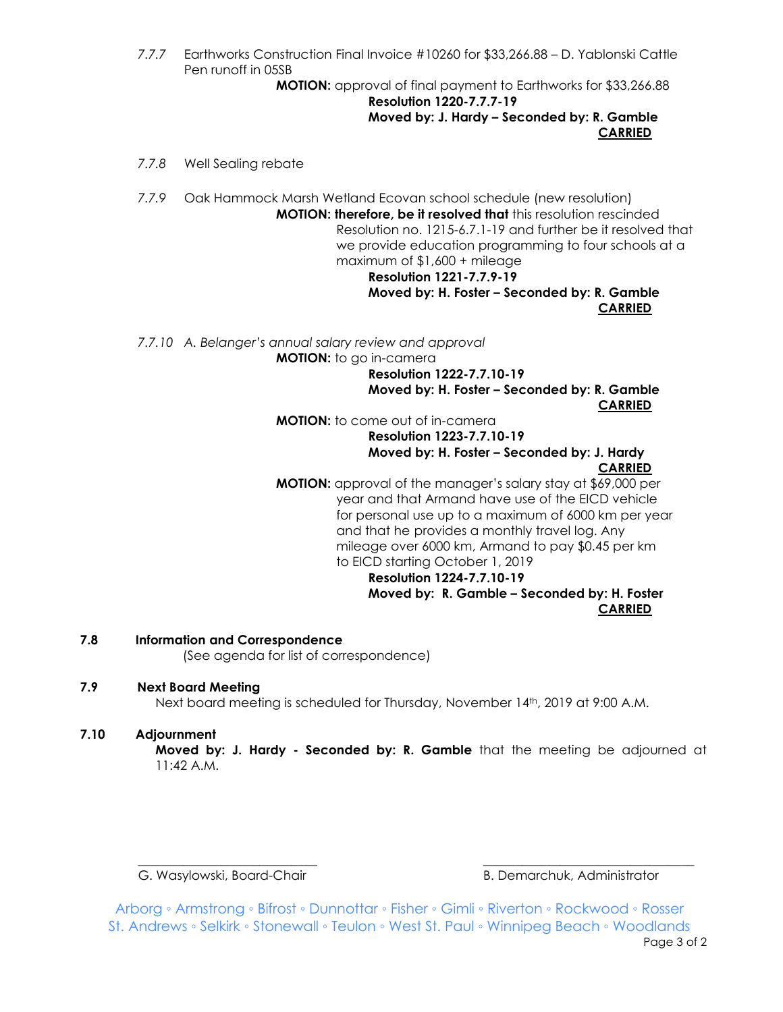*7.7.7* Earthworks Construction Final Invoice #10260 for \$33,266.88 – D. Yablonski Cattle Pen runoff in 05SB

**MOTION:** approval of final payment to Earthworks for \$33,266.88

**Resolution 1220-7.7.7-19 Moved by: J. Hardy – Seconded by: R. Gamble CARRIED**

*7.7.8* Well Sealing rebate

*7.7.9* Oak Hammock Marsh Wetland Ecovan school schedule (new resolution) **MOTION: therefore, be it resolved that** this resolution rescinded Resolution no. 1215-6.7.1-19 and further be it resolved that we provide education programming to four schools at a maximum of \$1,600 + mileage **Resolution 1221-7.7.9-19**

# **Moved by: H. Foster – Seconded by: R. Gamble CARRIED**

*7.7.10 A. Belanger's annual salary review and approval*

**MOTION:** to go in-camera

**Resolution 1222-7.7.10-19 Moved by: H. Foster – Seconded by: R. Gamble CARRIED**

**MOTION:** to come out of in-camera **Resolution 1223-7.7.10-19 Moved by: H. Foster – Seconded by: J. Hardy**

**CARRIED**

**MOTION:** approval of the manager's salary stay at \$69,000 per year and that Armand have use of the EICD vehicle for personal use up to a maximum of 6000 km per year and that he provides a monthly travel log. Any mileage over 6000 km, Armand to pay \$0.45 per km to EICD starting October 1, 2019

**Resolution 1224-7.7.10-19 Moved by: R. Gamble – Seconded by: H. Foster CARRIED**

**7.8 Information and Correspondence**

(See agenda for list of correspondence)

# **7.9 Next Board Meeting**

Next board meeting is scheduled for Thursday, November 14<sup>th</sup>, 2019 at 9:00 A.M.

# **7.10 Adjournment**

**Moved by: J. Hardy - Seconded by: R. Gamble** that the meeting be adjourned at 11:42 A.M.

\_\_\_\_\_\_\_\_\_\_\_\_\_\_\_\_\_\_\_\_\_\_\_\_\_\_\_\_ \_\_\_\_\_\_\_\_\_\_\_\_\_\_\_\_\_\_\_\_\_\_\_\_\_\_\_\_\_\_\_\_\_

G. Wasylowski, Board-Chair **B. Demarchuk, Administrator** B. Demarchuk, Administrator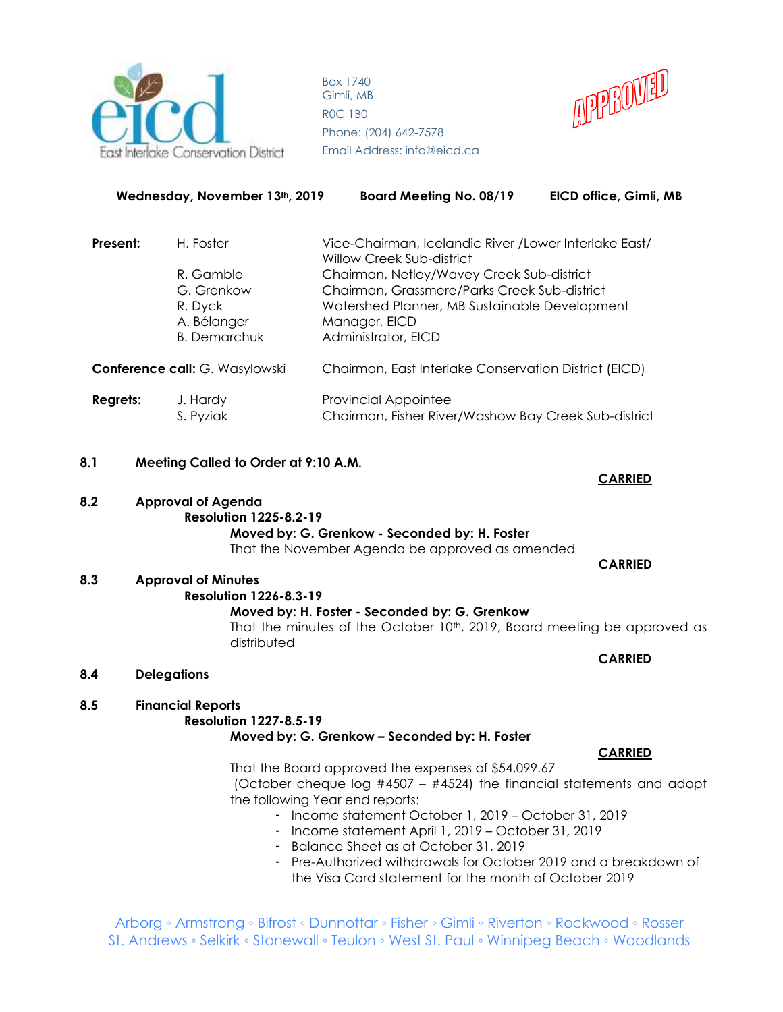



| Wednesday, November 13th, 2019 |                                                                          | <b>Board Meeting No. 08/19</b>                                                                                                                                                     | EICD office, Gimli, MB                                 |  |
|--------------------------------|--------------------------------------------------------------------------|------------------------------------------------------------------------------------------------------------------------------------------------------------------------------------|--------------------------------------------------------|--|
| Present:<br>H. Foster          |                                                                          | Willow Creek Sub-district                                                                                                                                                          | Vice-Chairman, Icelandic River / Lower Interlake East/ |  |
|                                | R. Gamble<br>G. Grenkow<br>R. Dyck<br>A. Bélanger<br><b>B.</b> Demarchuk | Chairman, Netley/Wavey Creek Sub-district<br>Chairman, Grassmere/Parks Creek Sub-district<br>Watershed Planner, MB Sustainable Development<br>Manager, EICD<br>Administrator, EICD |                                                        |  |
| Conference call: G. Wasylowski |                                                                          | Chairman, East Interlake Conservation District (EICD)                                                                                                                              |                                                        |  |
| <b>Regrets:</b>                | J. Hardy<br>S. Pyziak                                                    | <b>Provincial Appointee</b><br>Chairman, Fisher River/Washow Bay Creek Sub-district                                                                                                |                                                        |  |

- **8.1 Meeting Called to Order at 9:10 A.M.**
- **8.2 Approval of Agenda Resolution 1225-8.2-19**

**Moved by: G. Grenkow - Seconded by: H. Foster** That the November Agenda be approved as amended

# **8.3 Approval of Minutes**

# **Resolution 1226-8.3-19**

**Moved by: H. Foster - Seconded by: G. Grenkow** That the minutes of the October 10<sup>th</sup>, 2019, Board meeting be approved as distributed

**8.4 Delegations**

# **8.5 Financial Reports Resolution 1227-8.5-19 Moved by: G. Grenkow – Seconded by: H. Foster**

That the Board approved the expenses of \$54,099.67 (October cheque log #4507 – #4524) the financial statements and adopt the following Year end reports:

- Income statement October 1, 2019 October 31, 2019
- Income statement April 1, 2019 October 31, 2019
- Balance Sheet as at October 31, 2019
- Pre-Authorized withdrawals for October 2019 and a breakdown of the Visa Card statement for the month of October 2019

Arborg ◦ Armstrong ◦ Bifrost ◦ Dunnottar ◦ Fisher ◦ Gimli ◦ Riverton ◦ Rockwood ◦ Rosser St. Andrews ◦ Selkirk ◦ Stonewall ◦ Teulon ◦ West St. Paul ◦ Winnipeg Beach ◦ Woodlands

**CARRIED**

# **CARRIED**

**CARRIED**

# **CARRIED**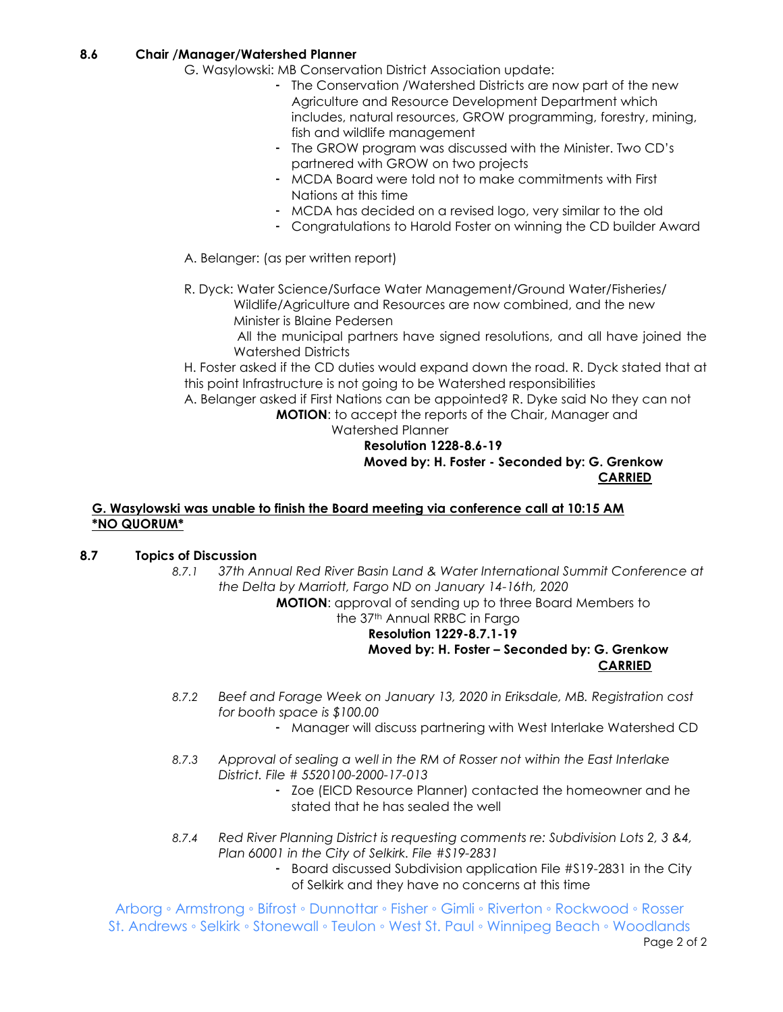# **8.6 Chair /Manager/Watershed Planner**

- G. Wasylowski: MB Conservation District Association update:
	- The Conservation /Watershed Districts are now part of the new Agriculture and Resource Development Department which includes, natural resources, GROW programming, forestry, mining, fish and wildlife management
	- The GROW program was discussed with the Minister. Two CD's partnered with GROW on two projects
	- MCDA Board were told not to make commitments with First Nations at this time
	- MCDA has decided on a revised logo, very similar to the old
	- Congratulations to Harold Foster on winning the CD builder Award
- A. Belanger: (as per written report)
- R. Dyck: Water Science/Surface Water Management/Ground Water/Fisheries/ Wildlife/Agriculture and Resources are now combined, and the new Minister is Blaine Pedersen

 All the municipal partners have signed resolutions, and all have joined the Watershed Districts

H. Foster asked if the CD duties would expand down the road. R. Dyck stated that at this point Infrastructure is not going to be Watershed responsibilities

A. Belanger asked if First Nations can be appointed? R. Dyke said No they can not **MOTION**: to accept the reports of the Chair, Manager and Watershed Planner

**Resolution 1228-8.6-19 Moved by: H. Foster - Seconded by: G. Grenkow CARRIED**

#### **G. Wasylowski was unable to finish the Board meeting via conference call at 10:15 AM \*NO QUORUM\***

# **8.7 Topics of Discussion**

*8.7.1 37th Annual Red River Basin Land & Water International Summit Conference at the Delta by Marriott, Fargo ND on January 14-16th, 2020*

**MOTION**: approval of sending up to three Board Members to

the 37<sup>th</sup> Annual RRBC in Fargo

# **Resolution 1229-8.7.1-19 Moved by: H. Foster – Seconded by: G. Grenkow CARRIED**

- *8.7.2 Beef and Forage Week on January 13, 2020 in Eriksdale, MB. Registration cost for booth space is \$100.00*
	- Manager will discuss partnering with West Interlake Watershed CD
- *8.7.3 Approval of sealing a well in the RM of Rosser not within the East Interlake District. File # 5520100-2000-17-013*
	- Zoe (EICD Resource Planner) contacted the homeowner and he stated that he has sealed the well
- *8.7.4 Red River Planning District is requesting comments re: Subdivision Lots 2, 3 &4, Plan 60001 in the City of Selkirk. File #S19-2831*
	- Board discussed Subdivision application File #S19-2831 in the City of Selkirk and they have no concerns at this time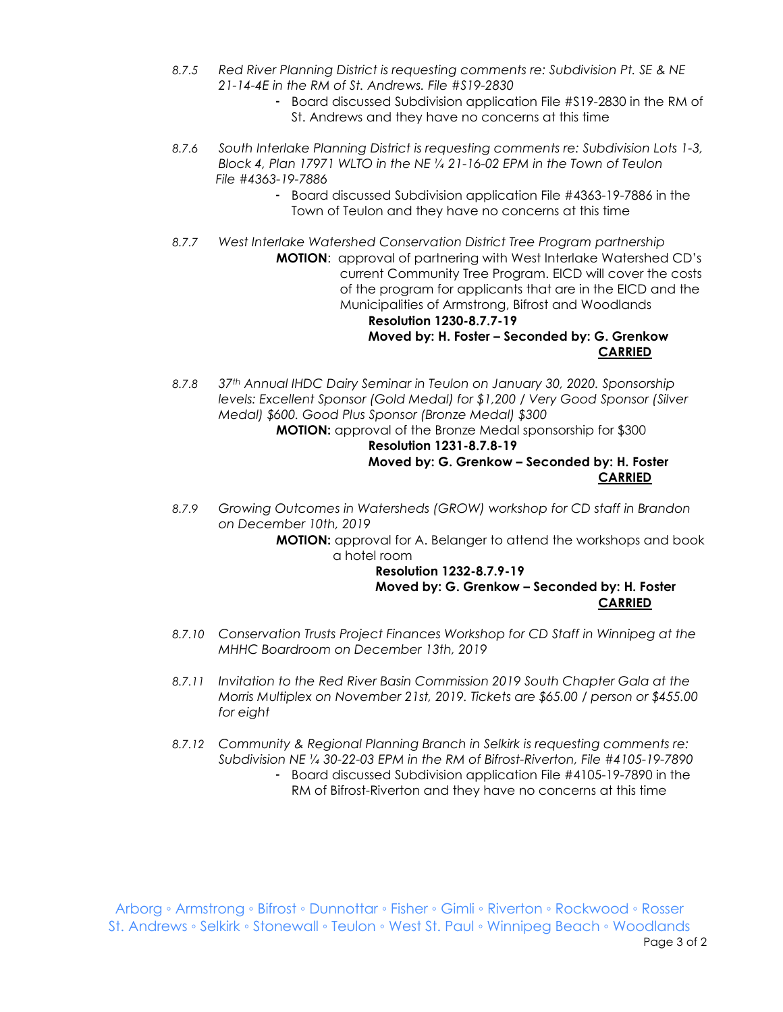- *8.7.5 Red River Planning District is requesting comments re: Subdivision Pt. SE & NE 21-14-4E in the RM of St. Andrews. File #S19-2830*
	- Board discussed Subdivision application File #S19-2830 in the RM of St. Andrews and they have no concerns at this time
- *8.7.6 South Interlake Planning District is requesting comments re: Subdivision Lots 1-3, Block 4, Plan 17971 WLTO in the NE ¼ 21-16-02 EPM in the Town of Teulon File #4363-19-7886*
	- Board discussed Subdivision application File #4363-19-7886 in the Town of Teulon and they have no concerns at this time
- *8.7.7 West Interlake Watershed Conservation District Tree Program partnership* **MOTION**: approval of partnering with West Interlake Watershed CD's current Community Tree Program. EICD will cover the costs of the program for applicants that are in the EICD and the Municipalities of Armstrong, Bifrost and Woodlands **Resolution 1230-8.7.7-19 Moved by: H. Foster – Seconded by: G. Grenkow**

# **CARRIED**

*8.7.8 37th Annual IHDC Dairy Seminar in Teulon on January 30, 2020. Sponsorship levels: Excellent Sponsor (Gold Medal) for \$1,200 / Very Good Sponsor (Silver Medal) \$600. Good Plus Sponsor (Bronze Medal) \$300*

**MOTION:** approval of the Bronze Medal sponsorship for \$300 **Resolution 1231-8.7.8-19**

# **Moved by: G. Grenkow – Seconded by: H. Foster CARRIED**

*8.7.9 Growing Outcomes in Watersheds (GROW) workshop for CD staff in Brandon on December 10th, 2019*

> **MOTION:** approval for A. Belanger to attend the workshops and book a hotel room

#### **Resolution 1232-8.7.9-19 Moved by: G. Grenkow – Seconded by: H. Foster CARRIED**

- *8.7.10 Conservation Trusts Project Finances Workshop for CD Staff in Winnipeg at the MHHC Boardroom on December 13th, 2019*
- *8.7.11 Invitation to the Red River Basin Commission 2019 South Chapter Gala at the Morris Multiplex on November 21st, 2019. Tickets are \$65.00 / person or \$455.00 for eight*
- *8.7.12 Community & Regional Planning Branch in Selkirk is requesting comments re: Subdivision NE ¼ 30-22-03 EPM in the RM of Bifrost-Riverton, File #4105-19-7890*
	- Board discussed Subdivision application File #4105-19-7890 in the RM of Bifrost-Riverton and they have no concerns at this time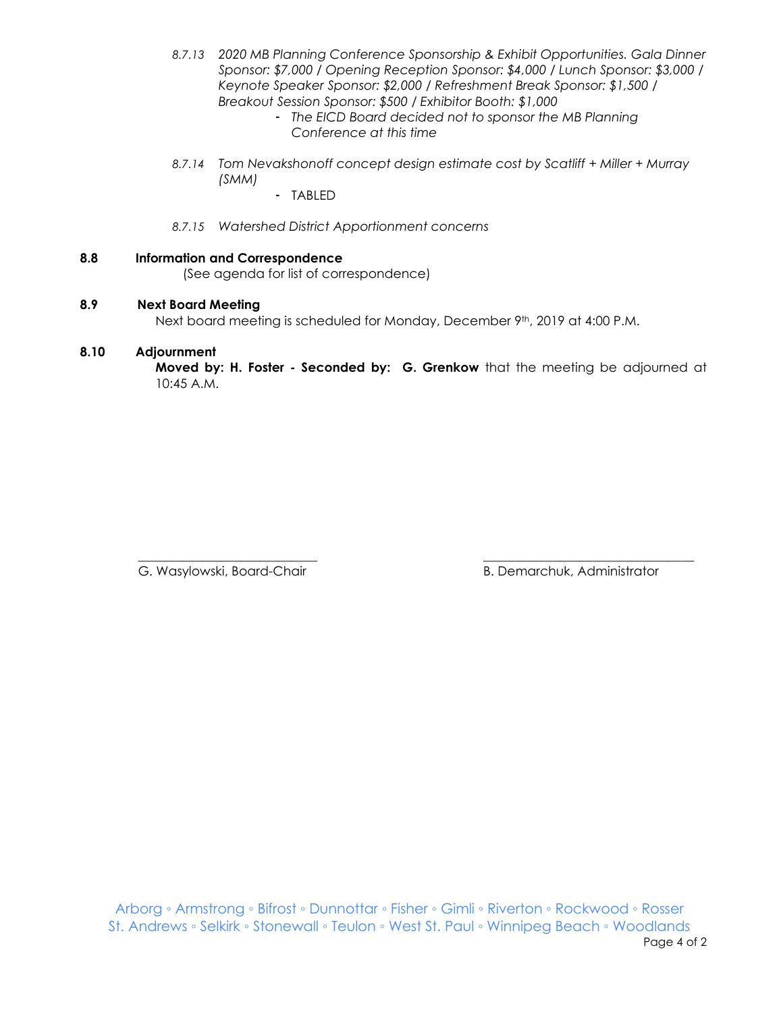- *8.7.13 2020 MB Planning Conference Sponsorship & Exhibit Opportunities. Gala Dinner Sponsor: \$7,000 / Opening Reception Sponsor: \$4,000 / Lunch Sponsor: \$3,000 / Keynote Speaker Sponsor: \$2,000 / Refreshment Break Sponsor: \$1,500 / Breakout Session Sponsor: \$500 / Exhibitor Booth: \$1,000*
	- *The EICD Board decided not to sponsor the MB Planning Conference at this time*
- *8.7.14 Tom Nevakshonoff concept design estimate cost by Scatliff + Miller + Murray (SMM)*
	- TABLED
- *8.7.15 Watershed District Apportionment concerns*
- **8.8 Information and Correspondence** (See agenda for list of correspondence)

# **8.9 Next Board Meeting**

Next board meeting is scheduled for Monday, December 9th, 2019 at 4:00 P.M.

# **8.10 Adjournment**

**Moved by: H. Foster - Seconded by: G. Grenkow** that the meeting be adjourned at 10:45 A.M.

 $\overline{\phantom{a}}$  , and the contribution of the contribution of the contribution of the contribution of the contribution of the contribution of the contribution of the contribution of the contribution of the contribution of the

G. Wasylowski, Board-Chair **B. Demarchuk, Administrator** B. Demarchuk, Administrator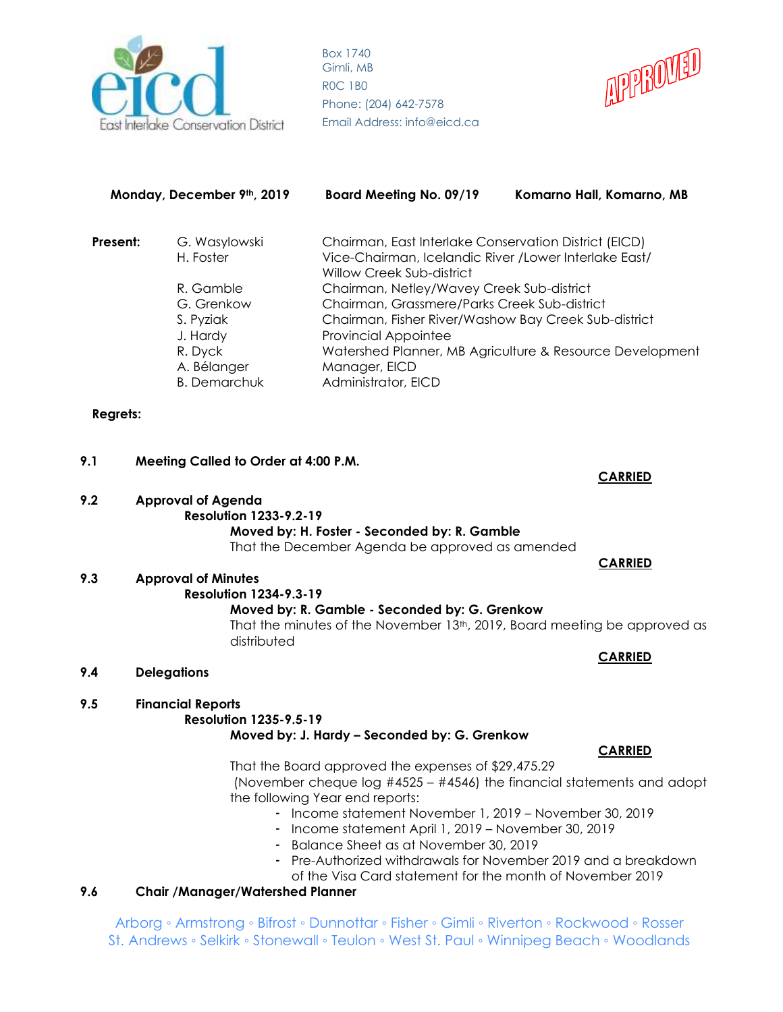



| <b>Board Meeting No. 09/19</b>                                                                                                                                                                                           | Komarno Hall, Komarno, MB |                                                      |  |
|--------------------------------------------------------------------------------------------------------------------------------------------------------------------------------------------------------------------------|---------------------------|------------------------------------------------------|--|
| Chairman, East Interlake Conservation District (EICD)                                                                                                                                                                    |                           |                                                      |  |
| Vice-Chairman, Icelandic River / Lower Interlake East/<br>H. Foster<br>Willow Creek Sub-district<br>Chairman, Netley/Wavey Creek Sub-district<br>R. Gamble<br>Chairman, Grassmere/Parks Creek Sub-district<br>G. Grenkow |                           |                                                      |  |
|                                                                                                                                                                                                                          |                           | Chairman, Fisher River/Washow Bay Creek Sub-district |  |
|                                                                                                                                                                                                                          |                           | <b>Provincial Appointee</b>                          |  |
| Watershed Planner, MB Agriculture & Resource Development<br>R. Dyck<br>A. Bélanger<br>Manager, EICD<br>Administrator, EICD<br><b>B.</b> Demarchuk                                                                        |                           |                                                      |  |
|                                                                                                                                                                                                                          |                           |                                                      |  |

# **Regrets:**

# **9.1 Meeting Called to Order at 4:00 P.M.**

**CARRIED 9.2 Approval of Agenda Resolution 1233-9.2-19**

#### **Moved by: H. Foster - Seconded by: R. Gamble** That the December Agenda be approved as amended

# **9.3 Approval of Minutes**

# **Resolution 1234-9.3-19**

# **Moved by: R. Gamble - Seconded by: G. Grenkow**

That the minutes of the November 13<sup>th</sup>, 2019, Board meeting be approved as distributed

#### **9.4 Delegations**

#### **9.5 Financial Reports Resolution 1235-9.5-19**

# **Moved by: J. Hardy – Seconded by: G. Grenkow**

That the Board approved the expenses of \$29,475.29 (November cheque log #4525 – #4546) the financial statements and adopt the following Year end reports:

- Income statement November 1, 2019 November 30, 2019
- Income statement April 1, 2019 November 30, 2019
- Balance Sheet as at November 30, 2019
- Pre-Authorized withdrawals for November 2019 and a breakdown of the Visa Card statement for the month of November 2019

# **9.6 Chair /Manager/Watershed Planner**

Arborg ◦ Armstrong ◦ Bifrost ◦ Dunnottar ◦ Fisher ◦ Gimli ◦ Riverton ◦ Rockwood ◦ Rosser St. Andrews ◦ Selkirk ◦ Stonewall ◦ Teulon ◦ West St. Paul ◦ Winnipeg Beach ◦ Woodlands

 **CARRIED** 

**CARRIED**

# **CARRIED**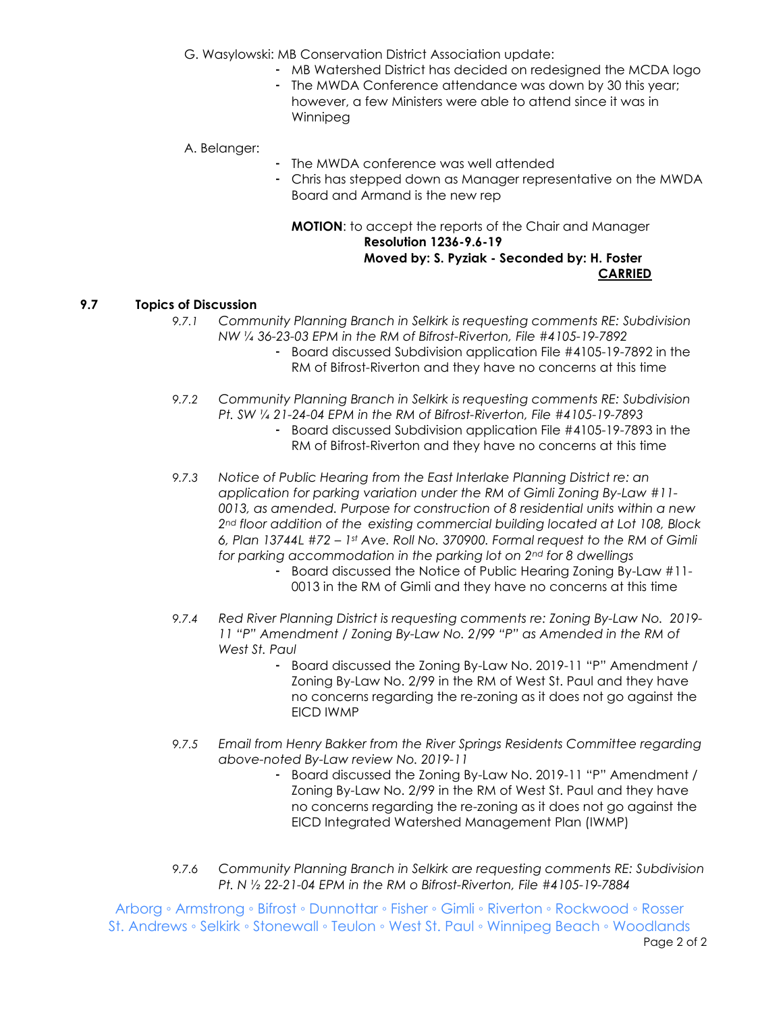G. Wasylowski: MB Conservation District Association update:

- MB Watershed District has decided on redesigned the MCDA logo
- The MWDA Conference attendance was down by 30 this year; however, a few Ministers were able to attend since it was in Winnipeg

A. Belanger:

- The MWDA conference was well attended
	- Chris has stepped down as Manager representative on the MWDA Board and Armand is the new rep

#### **MOTION**: to accept the reports of the Chair and Manager **Resolution 1236-9.6-19 Moved by: S. Pyziak - Seconded by: H. Foster CARRIED**

# **9.7 Topics of Discussion**

- *9.7.1 Community Planning Branch in Selkirk is requesting comments RE: Subdivision NW ¼ 36-23-03 EPM in the RM of Bifrost-Riverton, File #4105-19-7892*
	- Board discussed Subdivision application File #4105-19-7892 in the RM of Bifrost-Riverton and they have no concerns at this time
- *9.7.2 Community Planning Branch in Selkirk is requesting comments RE: Subdivision Pt. SW ¼ 21-24-04 EPM in the RM of Bifrost-Riverton, File #4105-19-7893*
	- Board discussed Subdivision application File #4105-19-7893 in the RM of Bifrost-Riverton and they have no concerns at this time
- *9.7.3 Notice of Public Hearing from the East Interlake Planning District re: an application for parking variation under the RM of Gimli Zoning By-Law #11- 0013, as amended. Purpose for construction of 8 residential units within a new 2nd floor addition of the existing commercial building located at Lot 108, Block 6, Plan 13744L #72 – 1st Ave. Roll No. 370900. Formal request to the RM of Gimli for parking accommodation in the parking lot on 2nd for 8 dwellings*
	- Board discussed the Notice of Public Hearing Zoning By-Law #11- 0013 in the RM of Gimli and they have no concerns at this time
- *9.7.4 Red River Planning District is requesting comments re: Zoning By-Law No. 2019- 11 "P" Amendment / Zoning By-Law No. 2/99 "P" as Amended in the RM of West St. Paul*
	- Board discussed the Zoning By-Law No. 2019-11 "P" Amendment / Zoning By-Law No. 2/99 in the RM of West St. Paul and they have no concerns regarding the re-zoning as it does not go against the EICD IWMP
- *9.7.5 Email from Henry Bakker from the River Springs Residents Committee regarding above-noted By-Law review No. 2019-11*
	- Board discussed the Zoning By-Law No. 2019-11 "P" Amendment / Zoning By-Law No. 2/99 in the RM of West St. Paul and they have no concerns regarding the re-zoning as it does not go against the EICD Integrated Watershed Management Plan (IWMP)
- *9.7.6 Community Planning Branch in Selkirk are requesting comments RE: Subdivision Pt. N ½ 22-21-04 EPM in the RM o Bifrost-Riverton, File #4105-19-7884*